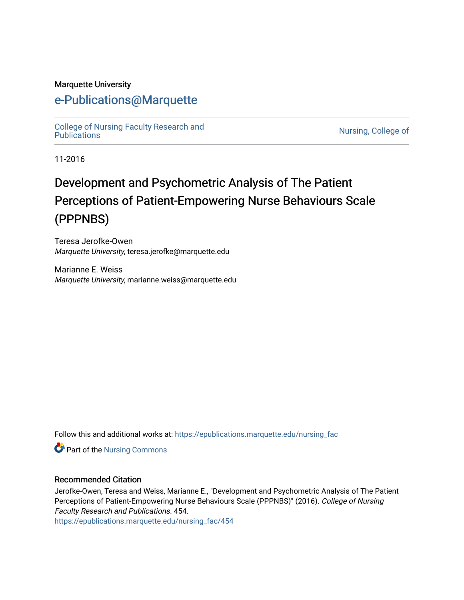#### Marquette University

# [e-Publications@Marquette](https://epublications.marquette.edu/)

[College of Nursing Faculty Research and](https://epublications.marquette.edu/nursing_fac)<br>Publications

Nursing, College of

11-2016

# Development and Psychometric Analysis of The Patient Perceptions of Patient-Empowering Nurse Behaviours Scale (PPPNBS)

Teresa Jerofke-Owen Marquette University, teresa.jerofke@marquette.edu

Marianne E. Weiss Marquette University, marianne.weiss@marquette.edu

Follow this and additional works at: [https://epublications.marquette.edu/nursing\\_fac](https://epublications.marquette.edu/nursing_fac?utm_source=epublications.marquette.edu%2Fnursing_fac%2F454&utm_medium=PDF&utm_campaign=PDFCoverPages)

Part of the [Nursing Commons](http://network.bepress.com/hgg/discipline/718?utm_source=epublications.marquette.edu%2Fnursing_fac%2F454&utm_medium=PDF&utm_campaign=PDFCoverPages) 

#### Recommended Citation

Jerofke-Owen, Teresa and Weiss, Marianne E., "Development and Psychometric Analysis of The Patient Perceptions of Patient-Empowering Nurse Behaviours Scale (PPPNBS)" (2016). College of Nursing Faculty Research and Publications. 454.

[https://epublications.marquette.edu/nursing\\_fac/454](https://epublications.marquette.edu/nursing_fac/454?utm_source=epublications.marquette.edu%2Fnursing_fac%2F454&utm_medium=PDF&utm_campaign=PDFCoverPages)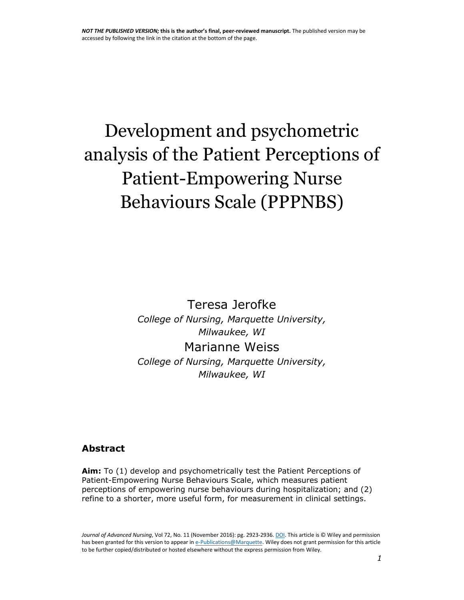# Development and psychometric analysis of the Patient Perceptions of Patient-Empowering Nurse Behaviours Scale (PPPNBS)

Teresa Jerofke *College of Nursing, Marquette University, Milwaukee, WI* Marianne Weiss

*College of Nursing, Marquette University, Milwaukee, WI*

#### **Abstract**

**Aim:** To (1) develop and psychometrically test the Patient Perceptions of Patient-Empowering Nurse Behaviours Scale, which measures patient perceptions of empowering nurse behaviours during hospitalization; and (2) refine to a shorter, more useful form, for measurement in clinical settings.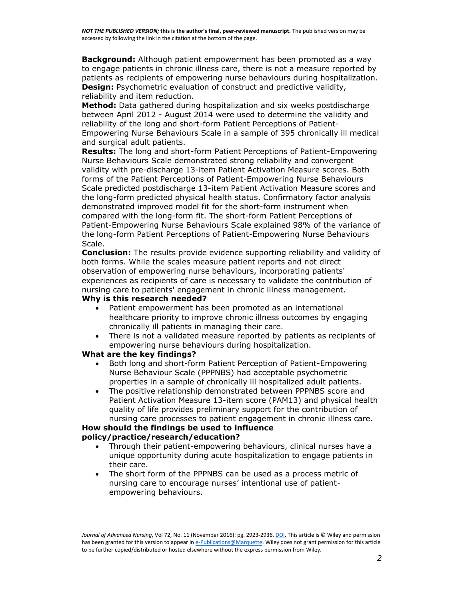**Background:** Although patient empowerment has been promoted as a way to engage patients in chronic illness care, there is not a measure reported by patients as recipients of empowering nurse behaviours during hospitalization. **Design:** Psychometric evaluation of construct and predictive validity, reliability and item reduction.

**Method:** Data gathered during hospitalization and six weeks postdischarge between April 2012 - August 2014 were used to determine the validity and reliability of the long and short-form Patient Perceptions of Patient-Empowering Nurse Behaviours Scale in a sample of 395 chronically ill medical and surgical adult patients.

**Results:** The long and short-form Patient Perceptions of Patient-Empowering Nurse Behaviours Scale demonstrated strong reliability and convergent validity with pre-discharge 13-item Patient Activation Measure scores. Both forms of the Patient Perceptions of Patient-Empowering Nurse Behaviours Scale predicted postdischarge 13-item Patient Activation Measure scores and the long-form predicted physical health status. Confirmatory factor analysis demonstrated improved model fit for the short-form instrument when compared with the long-form fit. The short-form Patient Perceptions of Patient-Empowering Nurse Behaviours Scale explained 98% of the variance of the long-form Patient Perceptions of Patient-Empowering Nurse Behaviours Scale.

**Conclusion:** The results provide evidence supporting reliability and validity of both forms. While the scales measure patient reports and not direct observation of empowering nurse behaviours, incorporating patients' experiences as recipients of care is necessary to validate the contribution of nursing care to patients' engagement in chronic illness management.

#### **Why is this research needed?**

- Patient empowerment has been promoted as an international healthcare priority to improve chronic illness outcomes by engaging chronically ill patients in managing their care.
- There is not a validated measure reported by patients as recipients of empowering nurse behaviours during hospitalization.

#### **What are the key findings?**

- Both long and short-form Patient Perception of Patient-Empowering Nurse Behaviour Scale (PPPNBS) had acceptable psychometric properties in a sample of chronically ill hospitalized adult patients.
- The positive relationship demonstrated between PPPNBS score and Patient Activation Measure 13-item score (PAM13) and physical health quality of life provides preliminary support for the contribution of nursing care processes to patient engagement in chronic illness care.

#### **How should the findings be used to influence policy/practice/research/education?**

- Through their patient-empowering behaviours, clinical nurses have a unique opportunity during acute hospitalization to engage patients in their care.
- The short form of the PPPNBS can be used as a process metric of nursing care to encourage nurses' intentional use of patientempowering behaviours.

*Journal of Advanced Nursing*, Vol 72, No. 11 (November 2016): pg. 2923-2936[. DOI.](https://dx.doi.org/10.1111/jan.13060) This article is © Wiley and permission has been granted for this version to appear i[n e-Publications@Marquette.](http://epublications.marquette.edu/) Wiley does not grant permission for this article to be further copied/distributed or hosted elsewhere without the express permission from Wiley.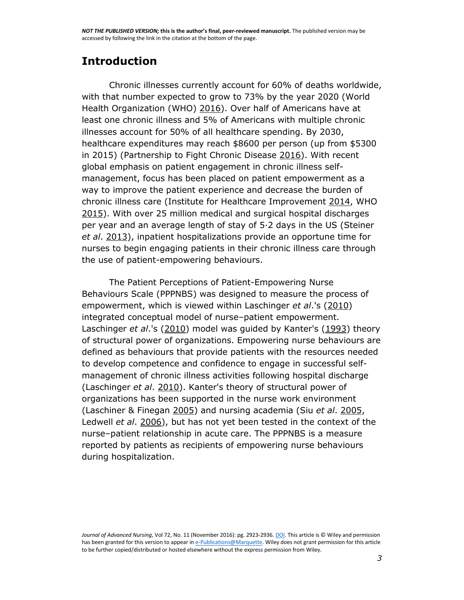# **Introduction**

Chronic illnesses currently account for 60% of deaths worldwide, with that number expected to grow to 73% by the year 2020 (World Health Organization (WHO) [2016\)](http://onlinelibrary.wiley.com/doi/10.1111/jan.13060/full#jan13060-bib-0053). Over half of Americans have at least one chronic illness and 5% of Americans with multiple chronic illnesses account for 50% of all healthcare spending. By 2030, healthcare expenditures may reach \$8600 per person (up from \$5300 in 2015) (Partnership to Fight Chronic Disease [2016\)](http://onlinelibrary.wiley.com/doi/10.1111/jan.13060/full#jan13060-bib-0035). With recent global emphasis on patient engagement in chronic illness selfmanagement, focus has been placed on patient empowerment as a way to improve the patient experience and decrease the burden of chronic illness care (Institute for Healthcare Improvement [2014,](http://onlinelibrary.wiley.com/doi/10.1111/jan.13060/full#jan13060-bib-0021) WHO [2015\)](http://onlinelibrary.wiley.com/doi/10.1111/jan.13060/full#jan13060-bib-0052). With over 25 million medical and surgical hospital discharges per year and an average length of stay of 5·2 days in the US (Steiner *et al*. [2013\)](http://onlinelibrary.wiley.com/doi/10.1111/jan.13060/full#jan13060-bib-0042), inpatient hospitalizations provide an opportune time for nurses to begin engaging patients in their chronic illness care through the use of patient-empowering behaviours.

The Patient Perceptions of Patient-Empowering Nurse Behaviours Scale (PPPNBS) was designed to measure the process of empowerment, which is viewed within Laschinger *et al*.'s [\(2010\)](http://onlinelibrary.wiley.com/doi/10.1111/jan.13060/full#jan13060-bib-0029) integrated conceptual model of nurse–patient empowerment. Laschinger *et al*.'s [\(2010\)](http://onlinelibrary.wiley.com/doi/10.1111/jan.13060/full#jan13060-bib-0029) model was guided by Kanter's [\(1993\)](http://onlinelibrary.wiley.com/doi/10.1111/jan.13060/full#jan13060-bib-0024) theory of structural power of organizations. Empowering nurse behaviours are defined as behaviours that provide patients with the resources needed to develop competence and confidence to engage in successful selfmanagement of chronic illness activities following hospital discharge (Laschinger *et al*. [2010\)](http://onlinelibrary.wiley.com/doi/10.1111/jan.13060/full#jan13060-bib-0029). Kanter's theory of structural power of organizations has been supported in the nurse work environment (Laschiner & Finegan [2005\)](http://onlinelibrary.wiley.com/doi/10.1111/jan.13060/full#jan13060-bib-0028) and nursing academia (Siu *et al*. [2005,](http://onlinelibrary.wiley.com/doi/10.1111/jan.13060/full#jan13060-bib-0040) Ledwell *et al*. [2006\)](http://onlinelibrary.wiley.com/doi/10.1111/jan.13060/full#jan13060-bib-0030), but has not yet been tested in the context of the nurse–patient relationship in acute care. The PPPNBS is a measure reported by patients as recipients of empowering nurse behaviours during hospitalization.

*Journal of Advanced Nursing*, Vol 72, No. 11 (November 2016): pg. 2923-2936[. DOI.](https://dx.doi.org/10.1111/jan.13060) This article is © Wiley and permission has been granted for this version to appear i[n e-Publications@Marquette.](http://epublications.marquette.edu/) Wiley does not grant permission for this article to be further copied/distributed or hosted elsewhere without the express permission from Wiley.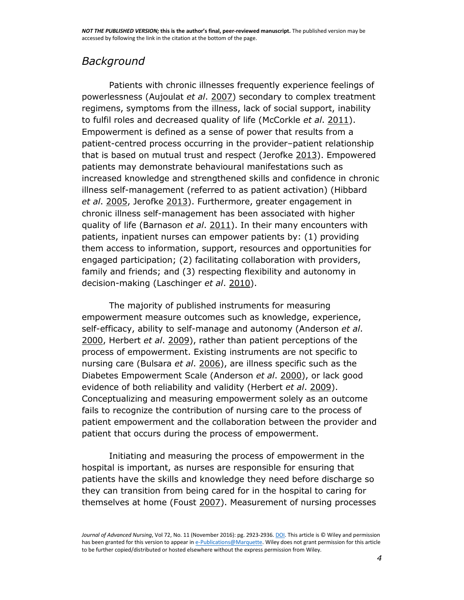# *Background*

Patients with chronic illnesses frequently experience feelings of powerlessness (Aujoulat *et al*. [2007\)](http://onlinelibrary.wiley.com/doi/10.1111/jan.13060/full#jan13060-bib-0003) secondary to complex treatment regimens, symptoms from the illness, lack of social support, inability to fulfil roles and decreased quality of life (McCorkle *et al*. [2011\)](http://onlinelibrary.wiley.com/doi/10.1111/jan.13060/full#jan13060-bib-0032). Empowerment is defined as a sense of power that results from a patient-centred process occurring in the provider–patient relationship that is based on mutual trust and respect (Jerofke [2013\)](http://onlinelibrary.wiley.com/doi/10.1111/jan.13060/full#jan13060-bib-0022). Empowered patients may demonstrate behavioural manifestations such as increased knowledge and strengthened skills and confidence in chronic illness self-management (referred to as patient activation) (Hibbard *et al*. [2005,](http://onlinelibrary.wiley.com/doi/10.1111/jan.13060/full#jan13060-bib-0018) Jerofke [2013\)](http://onlinelibrary.wiley.com/doi/10.1111/jan.13060/full#jan13060-bib-0022). Furthermore, greater engagement in chronic illness self-management has been associated with higher quality of life (Barnason *et al*. [2011\)](http://onlinelibrary.wiley.com/doi/10.1111/jan.13060/full#jan13060-bib-0004). In their many encounters with patients, inpatient nurses can empower patients by: (1) providing them access to information, support, resources and opportunities for engaged participation; (2) facilitating collaboration with providers, family and friends; and (3) respecting flexibility and autonomy in decision-making (Laschinger *et al*. [2010\)](http://onlinelibrary.wiley.com/doi/10.1111/jan.13060/full#jan13060-bib-0029).

The majority of published instruments for measuring empowerment measure outcomes such as knowledge, experience, self-efficacy, ability to self-manage and autonomy (Anderson *et al*. [2000,](http://onlinelibrary.wiley.com/doi/10.1111/jan.13060/full#jan13060-bib-0002) Herbert *et al*. [2009\)](http://onlinelibrary.wiley.com/doi/10.1111/jan.13060/full#jan13060-bib-0016), rather than patient perceptions of the process of empowerment. Existing instruments are not specific to nursing care (Bulsara *et al*. [2006\)](http://onlinelibrary.wiley.com/doi/10.1111/jan.13060/full#jan13060-bib-0007), are illness specific such as the Diabetes Empowerment Scale (Anderson *et al*. [2000\)](http://onlinelibrary.wiley.com/doi/10.1111/jan.13060/full#jan13060-bib-0002), or lack good evidence of both reliability and validity (Herbert *et al*. [2009\)](http://onlinelibrary.wiley.com/doi/10.1111/jan.13060/full#jan13060-bib-0016). Conceptualizing and measuring empowerment solely as an outcome fails to recognize the contribution of nursing care to the process of patient empowerment and the collaboration between the provider and patient that occurs during the process of empowerment.

Initiating and measuring the process of empowerment in the hospital is important, as nurses are responsible for ensuring that patients have the skills and knowledge they need before discharge so they can transition from being cared for in the hospital to caring for themselves at home (Foust [2007\)](http://onlinelibrary.wiley.com/doi/10.1111/jan.13060/full#jan13060-bib-0013). Measurement of nursing processes

*Journal of Advanced Nursing*, Vol 72, No. 11 (November 2016): pg. 2923-2936[. DOI.](https://dx.doi.org/10.1111/jan.13060) This article is © Wiley and permission has been granted for this version to appear i[n e-Publications@Marquette.](http://epublications.marquette.edu/) Wiley does not grant permission for this article to be further copied/distributed or hosted elsewhere without the express permission from Wiley.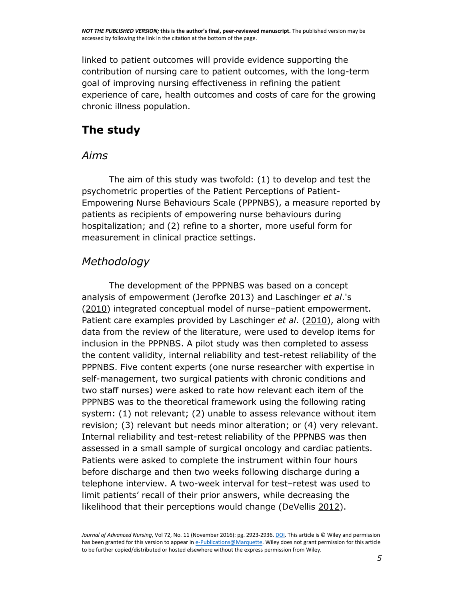linked to patient outcomes will provide evidence supporting the contribution of nursing care to patient outcomes, with the long-term goal of improving nursing effectiveness in refining the patient experience of care, health outcomes and costs of care for the growing chronic illness population.

# **The study**

### *Aims*

The aim of this study was twofold: (1) to develop and test the psychometric properties of the Patient Perceptions of Patient-Empowering Nurse Behaviours Scale (PPPNBS), a measure reported by patients as recipients of empowering nurse behaviours during hospitalization; and (2) refine to a shorter, more useful form for measurement in clinical practice settings.

# *Methodology*

The development of the PPPNBS was based on a concept analysis of empowerment (Jerofke [2013\)](http://onlinelibrary.wiley.com/doi/10.1111/jan.13060/full#jan13060-bib-0022) and Laschinger *et al*.'s [\(2010\)](http://onlinelibrary.wiley.com/doi/10.1111/jan.13060/full#jan13060-bib-0029) integrated conceptual model of nurse–patient empowerment. Patient care examples provided by Laschinger *et al*. [\(2010\)](http://onlinelibrary.wiley.com/doi/10.1111/jan.13060/full#jan13060-bib-0029), along with data from the review of the literature, were used to develop items for inclusion in the PPPNBS. A pilot study was then completed to assess the content validity, internal reliability and test-retest reliability of the PPPNBS. Five content experts (one nurse researcher with expertise in self-management, two surgical patients with chronic conditions and two staff nurses) were asked to rate how relevant each item of the PPPNBS was to the theoretical framework using the following rating system: (1) not relevant; (2) unable to assess relevance without item revision; (3) relevant but needs minor alteration; or (4) very relevant. Internal reliability and test-retest reliability of the PPPNBS was then assessed in a small sample of surgical oncology and cardiac patients. Patients were asked to complete the instrument within four hours before discharge and then two weeks following discharge during a telephone interview. A two-week interval for test–retest was used to limit patients' recall of their prior answers, while decreasing the likelihood that their perceptions would change (DeVellis [2012\)](http://onlinelibrary.wiley.com/doi/10.1111/jan.13060/full#jan13060-bib-0010).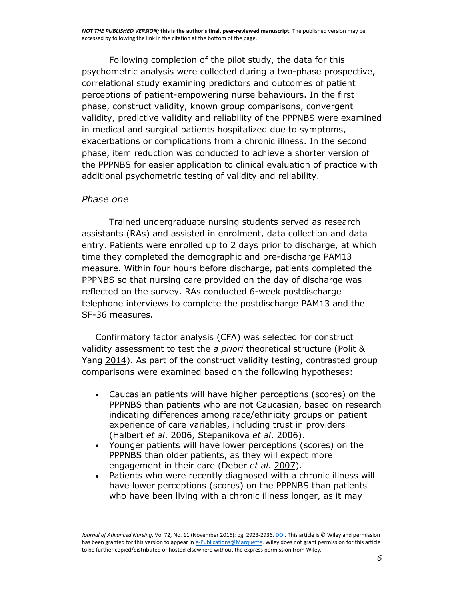Following completion of the pilot study, the data for this psychometric analysis were collected during a two-phase prospective, correlational study examining predictors and outcomes of patient perceptions of patient-empowering nurse behaviours. In the first phase, construct validity, known group comparisons, convergent validity, predictive validity and reliability of the PPPNBS were examined in medical and surgical patients hospitalized due to symptoms, exacerbations or complications from a chronic illness. In the second phase, item reduction was conducted to achieve a shorter version of the PPPNBS for easier application to clinical evaluation of practice with additional psychometric testing of validity and reliability.

#### *Phase one*

Trained undergraduate nursing students served as research assistants (RAs) and assisted in enrolment, data collection and data entry. Patients were enrolled up to 2 days prior to discharge, at which time they completed the demographic and pre-discharge PAM13 measure. Within four hours before discharge, patients completed the PPPNBS so that nursing care provided on the day of discharge was reflected on the survey. RAs conducted 6-week postdischarge telephone interviews to complete the postdischarge PAM13 and the SF-36 measures.

Confirmatory factor analysis (CFA) was selected for construct validity assessment to test the *a priori* theoretical structure (Polit & Yang [2014\)](http://onlinelibrary.wiley.com/doi/10.1111/jan.13060/full#jan13060-bib-0036). As part of the construct validity testing, contrasted group comparisons were examined based on the following hypotheses:

- Caucasian patients will have higher perceptions (scores) on the PPPNBS than patients who are not Caucasian, based on research indicating differences among race/ethnicity groups on patient experience of care variables, including trust in providers (Halbert *et al*. [2006,](http://onlinelibrary.wiley.com/doi/10.1111/jan.13060/full#jan13060-bib-0014) Stepanikova *et al*. [2006\)](http://onlinelibrary.wiley.com/doi/10.1111/jan.13060/full#jan13060-bib-0043).
- Younger patients will have lower perceptions (scores) on the PPPNBS than older patients, as they will expect more engagement in their care (Deber *et al*. [2007\)](http://onlinelibrary.wiley.com/doi/10.1111/jan.13060/full#jan13060-bib-0009).
- Patients who were recently diagnosed with a chronic illness will have lower perceptions (scores) on the PPPNBS than patients who have been living with a chronic illness longer, as it may

*Journal of Advanced Nursing*, Vol 72, No. 11 (November 2016): pg. 2923-2936[. DOI.](https://dx.doi.org/10.1111/jan.13060) This article is © Wiley and permission has been granted for this version to appear i[n e-Publications@Marquette.](http://epublications.marquette.edu/) Wiley does not grant permission for this article to be further copied/distributed or hosted elsewhere without the express permission from Wiley.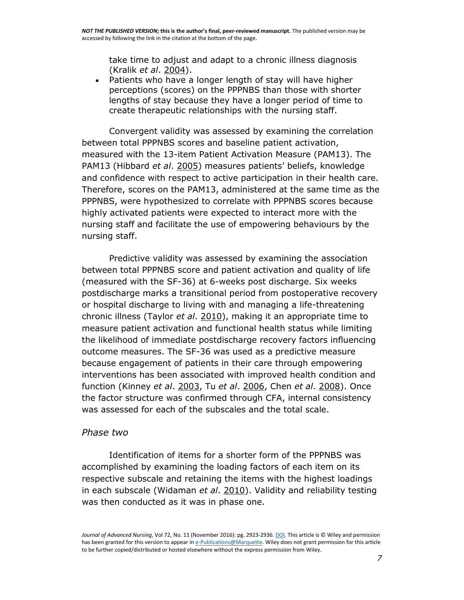take time to adjust and adapt to a chronic illness diagnosis (Kralik *et al*. [2004\)](http://onlinelibrary.wiley.com/doi/10.1111/jan.13060/full#jan13060-bib-0026).

 Patients who have a longer length of stay will have higher perceptions (scores) on the PPPNBS than those with shorter lengths of stay because they have a longer period of time to create therapeutic relationships with the nursing staff.

Convergent validity was assessed by examining the correlation between total PPPNBS scores and baseline patient activation, measured with the 13-item Patient Activation Measure (PAM13). The PAM13 (Hibbard *et al*. [2005](http://onlinelibrary.wiley.com/doi/10.1111/jan.13060/full#jan13060-bib-0018)) measures patients' beliefs, knowledge and confidence with respect to active participation in their health care. Therefore, scores on the PAM13, administered at the same time as the PPPNBS, were hypothesized to correlate with PPPNBS scores because highly activated patients were expected to interact more with the nursing staff and facilitate the use of empowering behaviours by the nursing staff.

Predictive validity was assessed by examining the association between total PPPNBS score and patient activation and quality of life (measured with the SF-36) at 6-weeks post discharge. Six weeks postdischarge marks a transitional period from postoperative recovery or hospital discharge to living with and managing a life-threatening chronic illness (Taylor *et al*. [2010\)](http://onlinelibrary.wiley.com/doi/10.1111/jan.13060/full#jan13060-bib-0046), making it an appropriate time to measure patient activation and functional health status while limiting the likelihood of immediate postdischarge recovery factors influencing outcome measures. The SF-36 was used as a predictive measure because engagement of patients in their care through empowering interventions has been associated with improved health condition and function (Kinney *et al*. [2003,](http://onlinelibrary.wiley.com/doi/10.1111/jan.13060/full#jan13060-bib-0025) Tu *et al*. [2006,](http://onlinelibrary.wiley.com/doi/10.1111/jan.13060/full#jan13060-bib-0048) Chen *et al*. [2008\)](http://onlinelibrary.wiley.com/doi/10.1111/jan.13060/full#jan13060-bib-0008). Once the factor structure was confirmed through CFA, internal consistency was assessed for each of the subscales and the total scale.

#### *Phase two*

Identification of items for a shorter form of the PPPNBS was accomplished by examining the loading factors of each item on its respective subscale and retaining the items with the highest loadings in each subscale (Widaman *et al*. [2010\)](http://onlinelibrary.wiley.com/doi/10.1111/jan.13060/full#jan13060-bib-0051). Validity and reliability testing was then conducted as it was in phase one.

*Journal of Advanced Nursing*, Vol 72, No. 11 (November 2016): pg. 2923-2936[. DOI.](https://dx.doi.org/10.1111/jan.13060) This article is © Wiley and permission has been granted for this version to appear i[n e-Publications@Marquette.](http://epublications.marquette.edu/) Wiley does not grant permission for this article to be further copied/distributed or hosted elsewhere without the express permission from Wiley.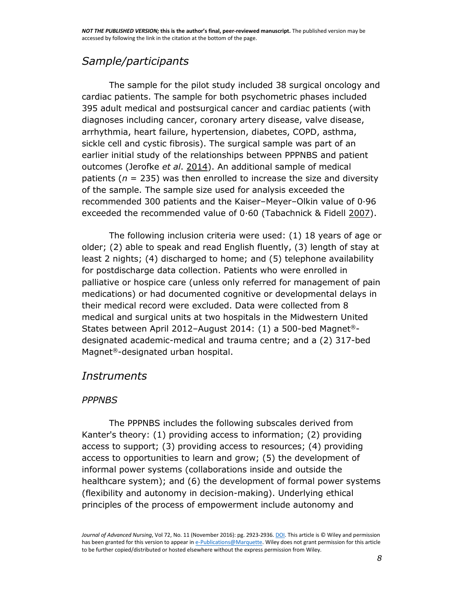# *Sample/participants*

The sample for the pilot study included 38 surgical oncology and cardiac patients. The sample for both psychometric phases included 395 adult medical and postsurgical cancer and cardiac patients (with diagnoses including cancer, coronary artery disease, valve disease, arrhythmia, heart failure, hypertension, diabetes, COPD, asthma, sickle cell and cystic fibrosis). The surgical sample was part of an earlier initial study of the relationships between PPPNBS and patient outcomes (Jerofke *et al*. [2014\)](http://onlinelibrary.wiley.com/doi/10.1111/jan.13060/full#jan13060-bib-0023). An additional sample of medical patients ( $n = 235$ ) was then enrolled to increase the size and diversity of the sample. The sample size used for analysis exceeded the recommended 300 patients and the Kaiser–Meyer–Olkin value of 0·96 exceeded the recommended value of 0·60 (Tabachnick & Fidell [2007\)](http://onlinelibrary.wiley.com/doi/10.1111/jan.13060/full#jan13060-bib-0045).

The following inclusion criteria were used: (1) 18 years of age or older; (2) able to speak and read English fluently, (3) length of stay at least 2 nights; (4) discharged to home; and (5) telephone availability for postdischarge data collection. Patients who were enrolled in palliative or hospice care (unless only referred for management of pain medications) or had documented cognitive or developmental delays in their medical record were excluded. Data were collected from 8 medical and surgical units at two hospitals in the Midwestern United States between April 2012–August 2014: (1) a 500-bed Magnet® designated academic-medical and trauma centre; and a (2) 317-bed Magnet®-designated urban hospital.

### *Instruments*

### *PPPNBS*

The PPPNBS includes the following subscales derived from Kanter's theory: (1) providing access to information; (2) providing access to support; (3) providing access to resources; (4) providing access to opportunities to learn and grow; (5) the development of informal power systems (collaborations inside and outside the healthcare system); and (6) the development of formal power systems (flexibility and autonomy in decision-making). Underlying ethical principles of the process of empowerment include autonomy and

*Journal of Advanced Nursing*, Vol 72, No. 11 (November 2016): pg. 2923-2936[. DOI.](https://dx.doi.org/10.1111/jan.13060) This article is © Wiley and permission has been granted for this version to appear i[n e-Publications@Marquette.](http://epublications.marquette.edu/) Wiley does not grant permission for this article to be further copied/distributed or hosted elsewhere without the express permission from Wiley.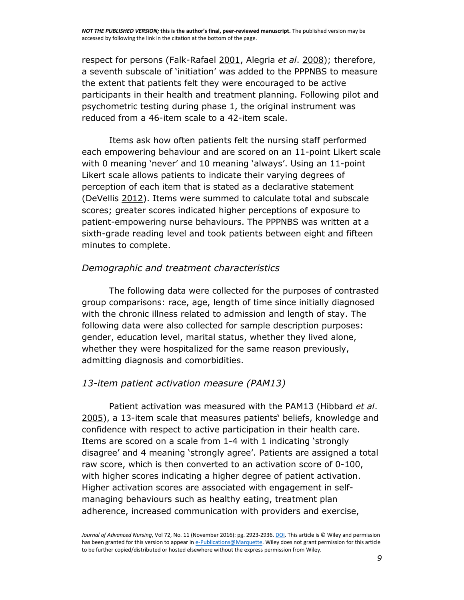respect for persons (Falk-Rafael [2001,](http://onlinelibrary.wiley.com/doi/10.1111/jan.13060/full#jan13060-bib-0012) Alegria *et al*. [2008\)](http://onlinelibrary.wiley.com/doi/10.1111/jan.13060/full#jan13060-bib-0001); therefore, a seventh subscale of 'initiation' was added to the PPPNBS to measure the extent that patients felt they were encouraged to be active participants in their health and treatment planning. Following pilot and psychometric testing during phase 1, the original instrument was reduced from a 46-item scale to a 42-item scale.

Items ask how often patients felt the nursing staff performed each empowering behaviour and are scored on an 11-point Likert scale with 0 meaning 'never' and 10 meaning 'always'. Using an 11-point Likert scale allows patients to indicate their varying degrees of perception of each item that is stated as a declarative statement (DeVellis [2012\)](http://onlinelibrary.wiley.com/doi/10.1111/jan.13060/full#jan13060-bib-0010). Items were summed to calculate total and subscale scores; greater scores indicated higher perceptions of exposure to patient-empowering nurse behaviours. The PPPNBS was written at a sixth-grade reading level and took patients between eight and fifteen minutes to complete.

#### *Demographic and treatment characteristics*

The following data were collected for the purposes of contrasted group comparisons: race, age, length of time since initially diagnosed with the chronic illness related to admission and length of stay. The following data were also collected for sample description purposes: gender, education level, marital status, whether they lived alone, whether they were hospitalized for the same reason previously, admitting diagnosis and comorbidities.

#### *13-item patient activation measure (PAM13)*

Patient activation was measured with the PAM13 (Hibbard *et al*. [2005\)](http://onlinelibrary.wiley.com/doi/10.1111/jan.13060/full#jan13060-bib-0018), a 13-item scale that measures patients' beliefs, knowledge and confidence with respect to active participation in their health care. Items are scored on a scale from 1-4 with 1 indicating 'strongly disagree' and 4 meaning 'strongly agree'. Patients are assigned a total raw score, which is then converted to an activation score of 0-100, with higher scores indicating a higher degree of patient activation. Higher activation scores are associated with engagement in selfmanaging behaviours such as healthy eating, treatment plan adherence, increased communication with providers and exercise,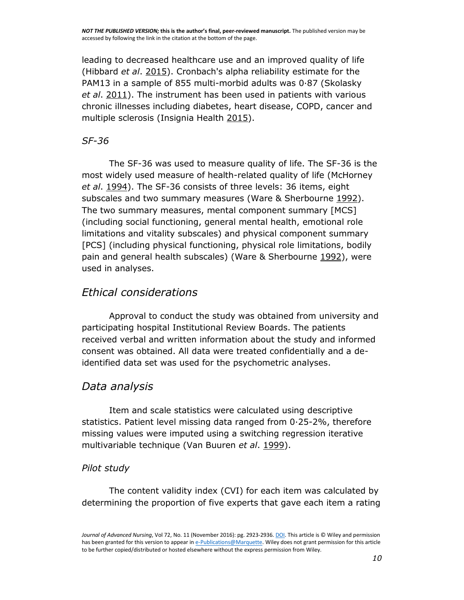leading to decreased healthcare use and an improved quality of life (Hibbard *et al*. [2015\)](http://onlinelibrary.wiley.com/doi/10.1111/jan.13060/full#jan13060-bib-0019). Cronbach's alpha reliability estimate for the PAM13 in a sample of 855 multi-morbid adults was 0·87 (Skolasky *et al*. [2011\)](http://onlinelibrary.wiley.com/doi/10.1111/jan.13060/full#jan13060-bib-0041). The instrument has been used in patients with various chronic illnesses including diabetes, heart disease, COPD, cancer and multiple sclerosis (Insignia Health [2015\)](http://onlinelibrary.wiley.com/doi/10.1111/jan.13060/full#jan13060-bib-0020).

### *SF-36*

The SF-36 was used to measure quality of life. The SF-36 is the most widely used measure of health-related quality of life (McHorney *et al*. [1994\)](http://onlinelibrary.wiley.com/doi/10.1111/jan.13060/full#jan13060-bib-0033). The SF-36 consists of three levels: 36 items, eight subscales and two summary measures (Ware & Sherbourne [1992\)](http://onlinelibrary.wiley.com/doi/10.1111/jan.13060/full#jan13060-bib-0050). The two summary measures, mental component summary [MCS] (including social functioning, general mental health, emotional role limitations and vitality subscales) and physical component summary [PCS] (including physical functioning, physical role limitations, bodily pain and general health subscales) (Ware & Sherbourne [1992\)](http://onlinelibrary.wiley.com/doi/10.1111/jan.13060/full#jan13060-bib-0050), were used in analyses.

### *Ethical considerations*

Approval to conduct the study was obtained from university and participating hospital Institutional Review Boards. The patients received verbal and written information about the study and informed consent was obtained. All data were treated confidentially and a deidentified data set was used for the psychometric analyses.

### *Data analysis*

Item and scale statistics were calculated using descriptive statistics. Patient level missing data ranged from 0·25-2%, therefore missing values were imputed using a switching regression iterative multivariable technique (Van Buuren *et al*. [1999\)](http://onlinelibrary.wiley.com/doi/10.1111/jan.13060/full#jan13060-bib-0049).

### *Pilot study*

The content validity index (CVI) for each item was calculated by determining the proportion of five experts that gave each item a rating

*Journal of Advanced Nursing*, Vol 72, No. 11 (November 2016): pg. 2923-2936[. DOI.](https://dx.doi.org/10.1111/jan.13060) This article is © Wiley and permission has been granted for this version to appear i[n e-Publications@Marquette.](http://epublications.marquette.edu/) Wiley does not grant permission for this article to be further copied/distributed or hosted elsewhere without the express permission from Wiley.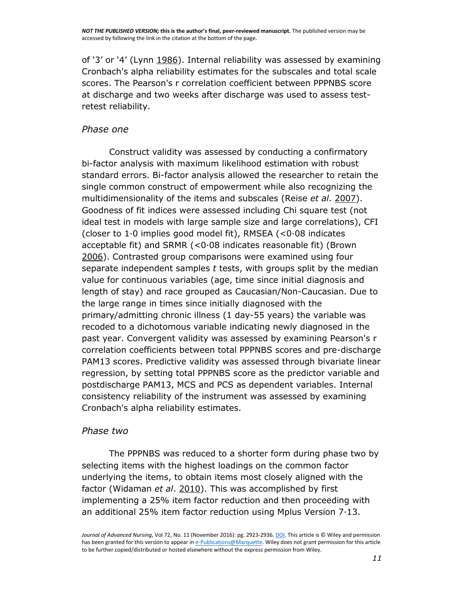of '3' or '4' (Lynn [1986\)](http://onlinelibrary.wiley.com/doi/10.1111/jan.13060/full#jan13060-bib-0031). Internal reliability was assessed by examining Cronbach's alpha reliability estimates for the subscales and total scale scores. The Pearson's r correlation coefficient between PPPNBS score at discharge and two weeks after discharge was used to assess testretest reliability.

#### *Phase one*

Construct validity was assessed by conducting a confirmatory bi-factor analysis with maximum likelihood estimation with robust standard errors. Bi-factor analysis allowed the researcher to retain the single common construct of empowerment while also recognizing the multidimensionality of the items and subscales (Reise *et al*. [2007\)](http://onlinelibrary.wiley.com/doi/10.1111/jan.13060/full#jan13060-bib-0038). Goodness of fit indices were assessed including Chi square test (not ideal test in models with large sample size and large correlations), CFI (closer to 1·0 implies good model fit), RMSEA (<0·08 indicates acceptable fit) and SRMR (<0·08 indicates reasonable fit) (Brown [2006\)](http://onlinelibrary.wiley.com/doi/10.1111/jan.13060/full#jan13060-bib-0006). Contrasted group comparisons were examined using four separate independent samples *t* tests, with groups split by the median value for continuous variables (age, time since initial diagnosis and length of stay) and race grouped as Caucasian/Non-Caucasian. Due to the large range in times since initially diagnosed with the primary/admitting chronic illness (1 day-55 years) the variable was recoded to a dichotomous variable indicating newly diagnosed in the past year. Convergent validity was assessed by examining Pearson's r correlation coefficients between total PPPNBS scores and pre-discharge PAM13 scores. Predictive validity was assessed through bivariate linear regression, by setting total PPPNBS score as the predictor variable and postdischarge PAM13, MCS and PCS as dependent variables. Internal consistency reliability of the instrument was assessed by examining Cronbach's alpha reliability estimates.

#### *Phase two*

The PPPNBS was reduced to a shorter form during phase two by selecting items with the highest loadings on the common factor underlying the items, to obtain items most closely aligned with the factor (Widaman *et al*. [2010\)](http://onlinelibrary.wiley.com/doi/10.1111/jan.13060/full#jan13060-bib-0051). This was accomplished by first implementing a 25% item factor reduction and then proceeding with an additional 25% item factor reduction using Mplus Version 7·13.

*Journal of Advanced Nursing*, Vol 72, No. 11 (November 2016): pg. 2923-2936[. DOI.](https://dx.doi.org/10.1111/jan.13060) This article is © Wiley and permission has been granted for this version to appear i[n e-Publications@Marquette.](http://epublications.marquette.edu/) Wiley does not grant permission for this article to be further copied/distributed or hosted elsewhere without the express permission from Wiley.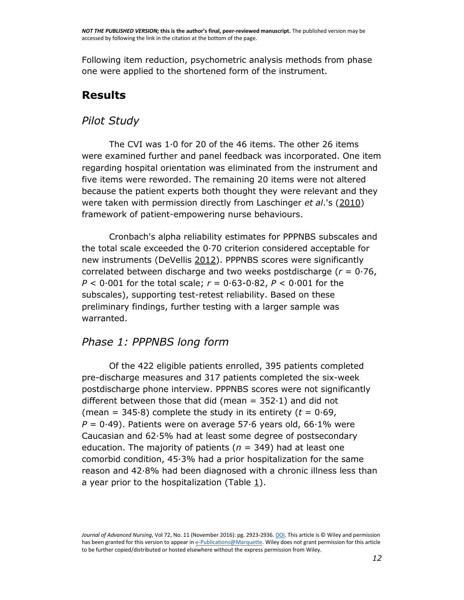Following item reduction, psychometric analysis methods from phase one were applied to the shortened form of the instrument.

# **Results**

### *Pilot Study*

The CVI was 1·0 for 20 of the 46 items. The other 26 items were examined further and panel feedback was incorporated. One item regarding hospital orientation was eliminated from the instrument and five items were reworded. The remaining 20 items were not altered because the patient experts both thought they were relevant and they were taken with permission directly from Laschinger *et al*.'s [\(2010\)](http://onlinelibrary.wiley.com/doi/10.1111/jan.13060/full#jan13060-bib-0029) framework of patient-empowering nurse behaviours.

Cronbach's alpha reliability estimates for PPPNBS subscales and the total scale exceeded the 0·70 criterion considered acceptable for new instruments (DeVellis [2012\)](http://onlinelibrary.wiley.com/doi/10.1111/jan.13060/full#jan13060-bib-0010). PPPNBS scores were significantly correlated between discharge and two weeks postdischarge (*r* = 0·76, *P* < 0·001 for the total scale; *r* = 0·63-0·82, *P* < 0·001 for the subscales), supporting test-retest reliability. Based on these preliminary findings, further testing with a larger sample was warranted.

### *Phase 1: PPPNBS long form*

Of the 422 eligible patients enrolled, 395 patients completed pre-discharge measures and 317 patients completed the six-week postdischarge phone interview. PPPNBS scores were not significantly different between those that did (mean  $= 352 \cdot 1$ ) and did not (mean =  $345.8$ ) complete the study in its entirety ( $t = 0.69$ ,  $P = 0.49$ ). Patients were on average 57.6 years old, 66.1% were Caucasian and 62·5% had at least some degree of postsecondary education. The majority of patients (*n* = 349) had at least one comorbid condition, 45·3% had a prior hospitalization for the same reason and 42·8% had been diagnosed with a chronic illness less than a year prior to the hospitalization (Table  $\underline{1}$ ).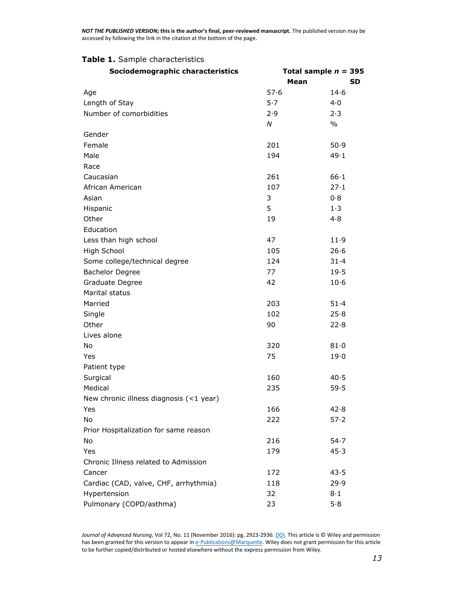#### **Table 1.** Sample characteristics

| Sociodemographic characteristics        | Total sample $n = 395$ |               |  |  |  |
|-----------------------------------------|------------------------|---------------|--|--|--|
|                                         | Mean                   | SD.           |  |  |  |
| Age                                     | 57.6                   | 14.6          |  |  |  |
| Length of Stay                          | 5.7                    | 4.0           |  |  |  |
| Number of comorbidities                 | 2.9                    | 2.3           |  |  |  |
|                                         | N                      | $\frac{0}{0}$ |  |  |  |
| Gender                                  |                        |               |  |  |  |
| Female                                  | 201                    | 50.9          |  |  |  |
| Male                                    | 194                    | 49.1          |  |  |  |
| Race                                    |                        |               |  |  |  |
| Caucasian                               | 261                    | 66.1          |  |  |  |
| African American                        | 107                    | 27.1          |  |  |  |
| Asian                                   | 3                      | 0.8           |  |  |  |
| Hispanic                                | 5                      | 1.3           |  |  |  |
| Other                                   | 19                     | 4.8           |  |  |  |
| Education                               |                        |               |  |  |  |
| Less than high school                   | 47                     | 11.9          |  |  |  |
| High School                             | 105                    | 26.6          |  |  |  |
| Some college/technical degree           | 124                    | 31.4          |  |  |  |
| <b>Bachelor Degree</b>                  | 77                     | 19.5          |  |  |  |
| Graduate Degree                         | 42                     | $10-6$        |  |  |  |
| Marital status                          |                        |               |  |  |  |
| Married                                 | 203                    | 51.4          |  |  |  |
| Single                                  | 102                    | 25.8          |  |  |  |
| Other                                   | 90                     | 22.8          |  |  |  |
| Lives alone                             |                        |               |  |  |  |
| No                                      | 320                    | 81.0          |  |  |  |
| Yes                                     | 75                     | 19.0          |  |  |  |
| Patient type                            |                        |               |  |  |  |
| Surgical                                | 160                    | 40.5          |  |  |  |
| Medical                                 | 235                    | 59.5          |  |  |  |
| New chronic illness diagnosis (<1 year) |                        |               |  |  |  |
| Yes                                     | 166                    | 42.8          |  |  |  |
| No                                      | 222                    | 57.2          |  |  |  |
| Prior Hospitalization for same reason   |                        |               |  |  |  |
| No                                      | 216                    | 54.7          |  |  |  |
| Yes                                     | 179                    | 45.3          |  |  |  |
| Chronic Illness related to Admission    |                        |               |  |  |  |
| Cancer                                  | 172                    | 43.5          |  |  |  |
| Cardiac (CAD, valve, CHF, arrhythmia)   | 118                    | 29.9          |  |  |  |
| Hypertension                            | 32                     | 8·1           |  |  |  |
| Pulmonary (COPD/asthma)                 | 23                     | 5.8           |  |  |  |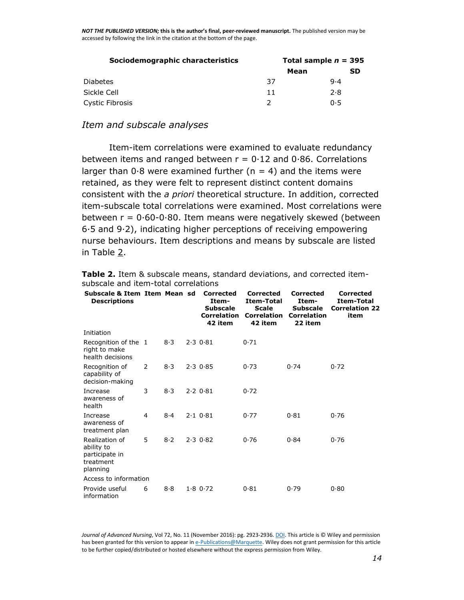| Sociodemographic characteristics | Total sample $n = 395$ |           |  |  |  |
|----------------------------------|------------------------|-----------|--|--|--|
|                                  | Mean                   | <b>SD</b> |  |  |  |
| <b>Diabetes</b>                  | 37                     | 9.4       |  |  |  |
| Sickle Cell                      | 11                     | 2.8       |  |  |  |
| Cystic Fibrosis                  |                        | 0.5       |  |  |  |

#### *Item and subscale analyses*

Item-item correlations were examined to evaluate redundancy between items and ranged between  $r = 0.12$  and 0.86. Correlations larger than  $0.8$  were examined further ( $n = 4$ ) and the items were retained, as they were felt to represent distinct content domains consistent with the *a priori* theoretical structure. In addition, corrected item-subscale total correlations were examined. Most correlations were between  $r = 0.60 - 0.80$ . Item means were negatively skewed (between 6·5 and 9·2), indicating higher perceptions of receiving empowering nurse behaviours. Item descriptions and means by subscale are listed in Table [2.](http://onlinelibrary.wiley.com/doi/10.1111/jan.13060/full#jan13060-tbl-0002)

| Subscale & Item Item Mean sd<br><b>Descriptions</b>                     |   |     | <b>Corrected</b><br>Item-<br><b>Subscale</b><br><b>Correlation</b><br>42 item | <b>Corrected</b><br>Item-Total<br><b>Scale</b><br><b>Correlation</b><br>42 item | <b>Corrected</b><br>Item-<br><b>Subscale</b><br><b>Correlation</b><br>22 item | <b>Corrected</b><br>Item-Total<br><b>Correlation 22</b><br>item |
|-------------------------------------------------------------------------|---|-----|-------------------------------------------------------------------------------|---------------------------------------------------------------------------------|-------------------------------------------------------------------------------|-----------------------------------------------------------------|
| Initiation                                                              |   |     |                                                                               |                                                                                 |                                                                               |                                                                 |
| Recognition of the 1<br>right to make<br>health decisions               |   | 8·3 | 2.30.81                                                                       | 0.71                                                                            |                                                                               |                                                                 |
| Recognition of<br>capability of<br>decision-making                      | 2 | 8.3 | 2.30.85                                                                       | 0.73                                                                            | 0.74                                                                          | 0.72                                                            |
| Increase<br>awareness of<br>health                                      | 3 | 8.3 | $2.2$ 0.81                                                                    | 0.72                                                                            |                                                                               |                                                                 |
| Increase<br>awareness of<br>treatment plan                              | 4 | 8.4 | $2.1$ 0.81                                                                    | 0.77                                                                            | 0.81                                                                          | 0.76                                                            |
| Realization of<br>ability to<br>participate in<br>treatment<br>planning | 5 | 8.2 | 2.30.82                                                                       | 0.76                                                                            | 0.84                                                                          | 0.76                                                            |
| Access to information                                                   |   |     |                                                                               |                                                                                 |                                                                               |                                                                 |
| Provide useful<br>information                                           | 6 | 8.8 | 1.80.72                                                                       | 0.81                                                                            | 0.79                                                                          | 0.80                                                            |

**Table 2.** Item & subscale means, standard deviations, and corrected itemsubscale and item-total correlations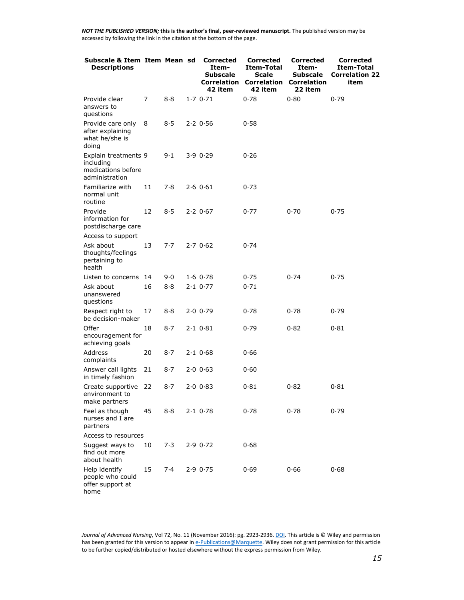| Subscale & Item Item Mean sd<br><b>Descriptions</b>                       |     |     | <b>Corrected</b><br>Item-<br>Subscale<br><b>Correlation</b><br>42 item | <b>Corrected</b><br>Item-Total<br><b>Scale</b><br><b>Correlation</b><br>42 item | <b>Corrected</b><br>Item-<br>Subscale<br><b>Correlation</b><br>22 item | <b>Corrected</b><br>Item-Total<br><b>Correlation 22</b><br>item |
|---------------------------------------------------------------------------|-----|-----|------------------------------------------------------------------------|---------------------------------------------------------------------------------|------------------------------------------------------------------------|-----------------------------------------------------------------|
| Provide clear<br>answers to<br>questions                                  | 7   | 8.8 | 1.70.71                                                                | 0.78                                                                            | 0.80                                                                   | 0.79                                                            |
| Provide care only<br>after explaining<br>what he/she is<br>doing          | 8   | 8·5 | 2.20.56                                                                | 0.58                                                                            |                                                                        |                                                                 |
| Explain treatments 9<br>including<br>medications before<br>administration |     | 9.1 | 3.90.29                                                                | 0.26                                                                            |                                                                        |                                                                 |
| Familiarize with<br>normal unit<br>routine                                | 11  | 7.8 | 2.60.61                                                                | 0.73                                                                            |                                                                        |                                                                 |
| Provide<br>information for<br>postdischarge care                          | 12  | 8.5 | 2.20.67                                                                | 0.77                                                                            | 0.70                                                                   | 0.75                                                            |
| Access to support                                                         |     |     |                                                                        |                                                                                 |                                                                        |                                                                 |
| Ask about<br>thoughts/feelings<br>pertaining to<br>health                 | 13  | 7.7 | 2.70.62                                                                | 0.74                                                                            |                                                                        |                                                                 |
| Listen to concerns                                                        | -14 | 9.0 | 1.60.78                                                                | 0.75                                                                            | 0.74                                                                   | 0.75                                                            |
| Ask about<br>unanswered<br>questions                                      | 16  | 8.8 | $2.1$ 0.77                                                             | 0.71                                                                            |                                                                        |                                                                 |
| Respect right to<br>be decision-maker                                     | 17  | 8.8 | 2.00.79                                                                | 0.78                                                                            | 0.78                                                                   | 0.79                                                            |
| Offer<br>encouragement for<br>achieving goals                             | 18  | 8·7 | $2.1$ $0.81$                                                           | 0.79                                                                            | 0.82                                                                   | 0.81                                                            |
| Address<br>complaints                                                     | 20  | 8·7 | $2.1$ 0.68                                                             | 0.66                                                                            |                                                                        |                                                                 |
| Answer call lights<br>in timely fashion                                   | 21  | 8·7 | 2.00063                                                                | 0.60                                                                            |                                                                        |                                                                 |
| Create supportive 22<br>environment to<br>make partners                   |     | 8·7 | 2.00083                                                                | 0.81                                                                            | 0.82                                                                   | 0.81                                                            |
| Feel as though<br>nurses and I are<br>partners                            | 45  | 8.8 | $2.1$ 0.78                                                             | 0.78                                                                            | 0.78                                                                   | 0.79                                                            |
| Access to resources                                                       |     |     |                                                                        |                                                                                 |                                                                        |                                                                 |
| Suggest ways to<br>find out more<br>about health                          | 10  | 7.3 | 2.90.72                                                                | 0.68                                                                            |                                                                        |                                                                 |
| Help identify<br>people who could<br>offer support at<br>home             | 15  | 7.4 | 2.90.75                                                                | 0.69                                                                            | 0.66                                                                   | 0.68                                                            |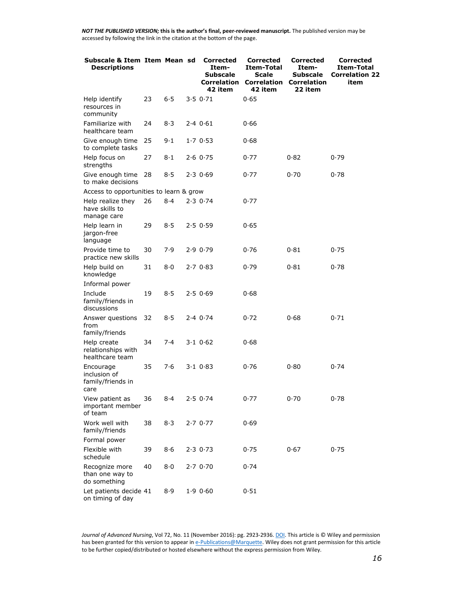| Subscale & Item Item Mean sd<br><b>Descriptions</b>    |    |     | <b>Corrected</b><br>Item-<br>Subscale<br><b>Correlation</b><br>42 item | <b>Corrected</b><br>Item-Total<br>Scale<br><b>Correlation</b><br>42 item | <b>Corrected</b><br>Item-<br>Subscale<br><b>Correlation</b><br>22 item | Corrected<br>Item-Total<br><b>Correlation 22</b><br>item |
|--------------------------------------------------------|----|-----|------------------------------------------------------------------------|--------------------------------------------------------------------------|------------------------------------------------------------------------|----------------------------------------------------------|
| Help identify<br>resources in<br>community             | 23 | 6.5 | 3.50.71                                                                | 0.65                                                                     |                                                                        |                                                          |
| Familiarize with<br>healthcare team                    | 24 | 8·3 | 2.40.61                                                                | 0.66                                                                     |                                                                        |                                                          |
| Give enough time<br>to complete tasks                  | 25 | 9.1 | 1.70.53                                                                | 0.68                                                                     |                                                                        |                                                          |
| Help focus on<br>strengths                             | 27 | 8·1 | $2.6$ 0.75                                                             | 0.77                                                                     | 0.82                                                                   | 0.79                                                     |
| Give enough time<br>to make decisions                  | 28 | 8·5 | 2.30.69                                                                | 0.77                                                                     | 0.70                                                                   | 0.78                                                     |
| Access to opportunities to learn & grow                |    |     |                                                                        |                                                                          |                                                                        |                                                          |
| Help realize they<br>have skills to<br>manage care     | 26 | 8.4 | 2.30.74                                                                | 0.77                                                                     |                                                                        |                                                          |
| Help learn in<br>jargon-free<br>language               | 29 | 8·5 | 2.50.59                                                                | 0.65                                                                     |                                                                        |                                                          |
| Provide time to<br>practice new skills                 | 30 | 7.9 | 2.90.79                                                                | 0.76                                                                     | 0.81                                                                   | 0.75                                                     |
| Help build on<br>knowledge                             | 31 | 8·0 | 2.70.83                                                                | 0.79                                                                     | 0.81                                                                   | 0.78                                                     |
| Informal power                                         |    |     |                                                                        |                                                                          |                                                                        |                                                          |
| Include<br>family/friends in<br>discussions            | 19 | 8.5 | 2.50.69                                                                | 0.68                                                                     |                                                                        |                                                          |
| Answer questions<br>from<br>family/friends             | 32 | 8·5 | 2.40.74                                                                | 0.72                                                                     | 0.68                                                                   | 0.71                                                     |
| Help create<br>relationships with<br>healthcare team   | 34 | 7.4 | 3.10.62                                                                | 0.68                                                                     |                                                                        |                                                          |
| Encourage<br>inclusion of<br>family/friends in<br>care | 35 | 7·6 | 3.10.83                                                                | 0.76                                                                     | 0.80                                                                   | 0.74                                                     |
| View patient as<br>important member<br>of team         | 36 | 8·4 | 2.50.74                                                                | 0.77                                                                     | 0.70                                                                   | 0.78                                                     |
| Work well with<br>family/friends                       | 38 | 8·3 | 2.70.77                                                                | 0.69                                                                     |                                                                        |                                                          |
| Formal power                                           |    |     |                                                                        |                                                                          |                                                                        |                                                          |
| Flexible with<br>schedule                              | 39 | 8·6 | 2.30.73                                                                | 0.75                                                                     | 0.67                                                                   | 0.75                                                     |
| Recognize more<br>than one way to<br>do something      | 40 | 8·0 | 2.70.70                                                                | 0.74                                                                     |                                                                        |                                                          |
| Let patients decide 41<br>on timing of day             |    | 8.9 | 1.90.60                                                                | 0.51                                                                     |                                                                        |                                                          |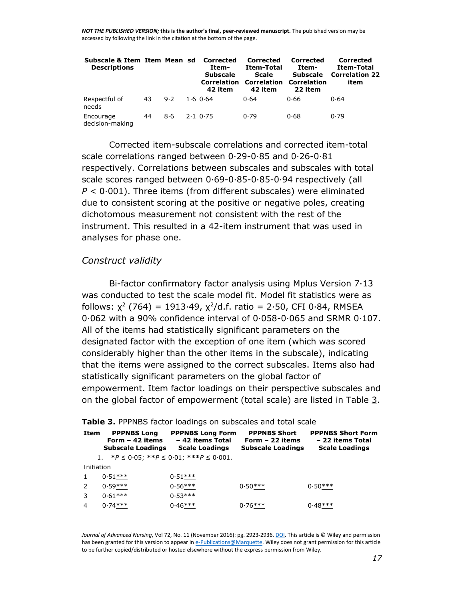| Subscale & Item Item Mean sd Corrected<br><b>Descriptions</b> |    |     | Item-<br><b>Subscale</b><br>Correlation<br>42 item | Corrected<br>Item-Total<br><b>Scale</b><br><b>Correlation Correlation</b><br>42 item | Corrected<br>Item-<br><b>Subscale</b><br>22 item | Corrected<br>Item-Total<br><b>Correlation 22</b><br>item |
|---------------------------------------------------------------|----|-----|----------------------------------------------------|--------------------------------------------------------------------------------------|--------------------------------------------------|----------------------------------------------------------|
| Respectful of<br>needs                                        | 43 | 9.2 | 1.60.64                                            | 0.64                                                                                 | 0.66                                             | 0.64                                                     |
| Encourage<br>decision-making                                  | 44 | 8·6 | $2.1$ 0.75                                         | 0.79                                                                                 | 0.68                                             | 0.79                                                     |

Corrected item-subscale correlations and corrected item-total scale correlations ranged between 0·29-0·85 and 0·26-0·81 respectively. Correlations between subscales and subscales with total scale scores ranged between 0·69-0·85-0·85-0·94 respectively (all *P* < 0·001). Three items (from different subscales) were eliminated due to consistent scoring at the positive or negative poles, creating dichotomous measurement not consistent with the rest of the instrument. This resulted in a 42-item instrument that was used in analyses for phase one.

#### *Construct validity*

Bi-factor confirmatory factor analysis using Mplus Version 7·13 was conducted to test the scale model fit. Model fit statistics were as follows:  $\chi^2$  (764) = 1913·49,  $\chi^2$ /d.f. ratio = 2·50, CFI 0·84, RMSEA 0·062 with a 90% confidence interval of 0·058-0·065 and SRMR 0·107. All of the items had statistically significant parameters on the designated factor with the exception of one item (which was scored considerably higher than the other items in the subscale), indicating that the items were assigned to the correct subscales. Items also had statistically significant parameters on the global factor of empowerment. Item factor loadings on their perspective subscales and on the global factor of empowerment (total scale) are listed in Table [3.](http://onlinelibrary.wiley.com/doi/10.1111/jan.13060/full#jan13060-tbl-0003)

|                | Table 3. PPPNBS factor loadings on subscales and total scale       |                                                                      |                                                                     |                                                                       |  |  |  |  |  |  |
|----------------|--------------------------------------------------------------------|----------------------------------------------------------------------|---------------------------------------------------------------------|-----------------------------------------------------------------------|--|--|--|--|--|--|
| Item           | <b>PPPNBS Long</b><br>Form $-42$ items<br><b>Subscale Loadings</b> | <b>PPPNBS Long Form</b><br>- 42 items Total<br><b>Scale Loadings</b> | <b>PPPNBS Short</b><br>Form $-22$ items<br><b>Subscale Loadings</b> | <b>PPPNBS Short Form</b><br>- 22 items Total<br><b>Scale Loadings</b> |  |  |  |  |  |  |
|                | 1. * $P \le 0.05$ ; ** $P \le 0.01$ ; *** $P \le 0.001$ .          |                                                                      |                                                                     |                                                                       |  |  |  |  |  |  |
| Initiation     |                                                                    |                                                                      |                                                                     |                                                                       |  |  |  |  |  |  |
|                | $0.51***$                                                          | $0.51***$                                                            |                                                                     |                                                                       |  |  |  |  |  |  |
| 2              | $0.59***$                                                          | $0.56***$                                                            | $0.50***$                                                           | $0.50***$                                                             |  |  |  |  |  |  |
| 3              | $0.61***$                                                          | $0.53***$                                                            |                                                                     |                                                                       |  |  |  |  |  |  |
| $\overline{4}$ | $0.74***$                                                          | $0.46***$                                                            | $0.76***$                                                           | $0.48***$                                                             |  |  |  |  |  |  |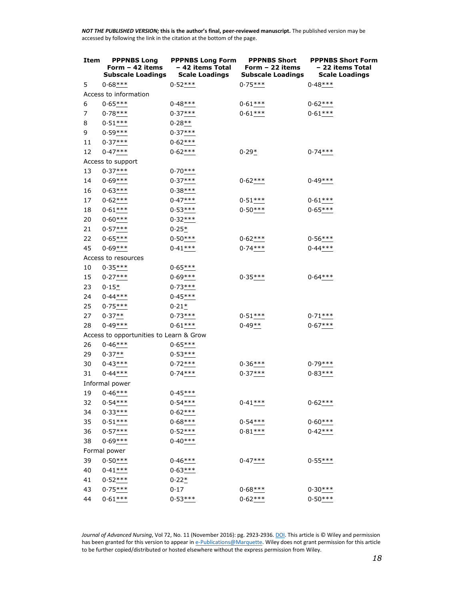| Item           | <b>PPPNBS Long</b><br>Form $-42$ items<br><b>Subscale Loadings</b> | <b>PPPNBS Long Form</b><br>- 42 items Total<br><b>Scale Loadings</b> | <b>PPPNBS Short</b><br>Form - 22 items<br><b>Subscale Loadings</b> | <b>PPPNBS Short Form</b><br>- 22 items Total<br><b>Scale Loadings</b> |
|----------------|--------------------------------------------------------------------|----------------------------------------------------------------------|--------------------------------------------------------------------|-----------------------------------------------------------------------|
| 5              | $0.68***$                                                          | $0.52***$                                                            | $0.75***$                                                          | $0.48***$                                                             |
|                | Access to information                                              |                                                                      |                                                                    |                                                                       |
| 6              | $0.65***$                                                          | $0.48***$                                                            | $0.61***$                                                          | $0.62***$                                                             |
| $\overline{7}$ | $0.78***$                                                          | $0.37***$                                                            | $0.61***$                                                          | $0.61***$                                                             |
| 8              | $0.51***$                                                          | $0.28**$                                                             |                                                                    |                                                                       |
| 9              | $0.59***$                                                          | $0.37***$                                                            |                                                                    |                                                                       |
| 11             | $0.37***$                                                          | $0.62***$                                                            |                                                                    |                                                                       |
| 12             | $0.47***$                                                          | $0.62***$                                                            | $0.29*$                                                            | $0.74***$                                                             |
|                | Access to support                                                  |                                                                      |                                                                    |                                                                       |
| 13             | $0.37***$                                                          | $0.70***$                                                            |                                                                    |                                                                       |
| 14             | $0.69***$                                                          | $0.37***$                                                            | $0.62***$                                                          | $0.49***$                                                             |
| 16             | $0.63***$                                                          | $0.38***$                                                            |                                                                    |                                                                       |
| 17             | $0.62***$                                                          | $0.47***$                                                            | $0.51***$                                                          | $0.61***$                                                             |
| 18             | $0.61***$                                                          | $0.53***$                                                            | $0.50***$                                                          | $0.65***$                                                             |
| 20             | $0.60***$                                                          | $0.32***$                                                            |                                                                    |                                                                       |
| 21             | $0.57***$                                                          | $0.25*$                                                              |                                                                    |                                                                       |
| 22             | $0.65***$                                                          | $0.50***$                                                            | $0.62***$                                                          | $0.56***$                                                             |
| 45             | $0.69***$                                                          | $0.41***$                                                            | $0.74***$                                                          | $0.44***$                                                             |
|                | Access to resources                                                |                                                                      |                                                                    |                                                                       |
| 10             | $0.35***$                                                          | $0.65***$                                                            |                                                                    |                                                                       |
| 15             | $0.27***$                                                          | $0.69***$                                                            | $0.35***$                                                          | $0.64***$                                                             |
| 23             | $0.15*$                                                            | $0.73***$                                                            |                                                                    |                                                                       |
| 24             | $0.44***$                                                          | $0.45***$                                                            |                                                                    |                                                                       |
| 25             | $0.75***$                                                          | $0.21*$                                                              |                                                                    |                                                                       |
| 27             | $0.37***$                                                          | $0.73***$                                                            | $0.51***$                                                          | $0.71***$                                                             |
| 28             | $0.49***$                                                          | $0.61***$                                                            | $0.49**$                                                           | $0.67***$                                                             |
|                | Access to opportunities to Learn & Grow                            |                                                                      |                                                                    |                                                                       |
| 26             | $0.46***$                                                          | $0.65***$                                                            |                                                                    |                                                                       |
| 29             | $0.37**$                                                           | $0.53***$                                                            |                                                                    |                                                                       |
| 30             | $0.43***$                                                          | $0.72***$                                                            | $0.36***$                                                          | $0.79***$                                                             |
| 31             | $0.44***$                                                          | $0.74***$                                                            | $0.37***$                                                          | $0.83***$                                                             |
|                | Informal power                                                     |                                                                      |                                                                    |                                                                       |
| 19             | $0.46***$                                                          | $0.45***$                                                            |                                                                    |                                                                       |
| 32             | $0.54***$                                                          | $0.54***$                                                            | $0.41***$                                                          | $0.62***$                                                             |
| 34             | $0.33***$                                                          | $0.62***$                                                            |                                                                    |                                                                       |
| 35             | $0.51***$                                                          | $0.68***$                                                            | $0.54***$                                                          | $0.60***$                                                             |
| 36             | $0.57***$                                                          | $0.52***$                                                            | $0.81***$                                                          | $0.42***$                                                             |
| 38             | $0.69***$                                                          | $0.40***$                                                            |                                                                    |                                                                       |
|                | Formal power                                                       |                                                                      |                                                                    |                                                                       |
| 39             | $0.50***$                                                          | $0.46***$                                                            | $0.47***$                                                          | $0.55***$                                                             |
| 40             | $0.41***$                                                          | $0.63***$                                                            |                                                                    |                                                                       |
| 41             | $0.52***$                                                          | $0.22*$                                                              |                                                                    |                                                                       |
| 43             | $0.75***$                                                          | 0.17                                                                 | $0.68***$                                                          | $0.30***$                                                             |
| 44             | $0.61***$                                                          | $0.53***$                                                            | $0.62***$                                                          | $0.50***$                                                             |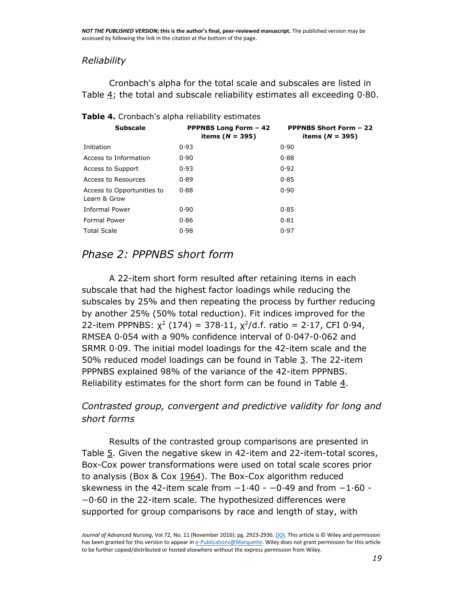#### *Reliability*

Cronbach's alpha for the total scale and subscales are listed in Table  $4$ ; the total and subscale reliability estimates all exceeding  $0.80$ .

| <b>Subscale</b>                            | <b>PPPNBS Long Form - 42</b><br>items ( $N = 395$ ) | <b>PPPNBS Short Form - 22</b><br>items ( $N = 395$ ) |
|--------------------------------------------|-----------------------------------------------------|------------------------------------------------------|
| Initiation                                 | 0.93                                                | 0.90                                                 |
| Access to Information                      | 0.90                                                | 0.88                                                 |
| Access to Support                          | 0.93                                                | 0.92                                                 |
| Access to Resources                        | 0.89                                                | 0.85                                                 |
| Access to Opportunities to<br>Learn & Grow | 0.88                                                | 0.90                                                 |
| Informal Power                             | 0.90                                                | 0.85                                                 |
| Formal Power                               | 0.86                                                | 0.81                                                 |
| <b>Total Scale</b>                         | 0.98                                                | 0.97                                                 |

#### **Table 4.** Cronbach's alpha reliability estimates

### *Phase 2: PPPNBS short form*

A 22-item short form resulted after retaining items in each subscale that had the highest factor loadings while reducing the subscales by 25% and then repeating the process by further reducing by another 25% (50% total reduction). Fit indices improved for the 22-item PPPNBS:  $\chi^2$  (174) = 378·11,  $\chi^2$ /d.f. ratio = 2·17, CFI 0·94, RMSEA 0·054 with a 90% confidence interval of 0·047-0·062 and SRMR 0·09. The initial model loadings for the 42-item scale and the 50% reduced model loadings can be found in Table [3.](http://onlinelibrary.wiley.com/doi/10.1111/jan.13060/full#jan13060-tbl-0003) The 22-item PPPNBS explained 98% of the variance of the 42-item PPPNBS. Reliability estimates for the short form can be found in Table  $4$ .

### *Contrasted group, convergent and predictive validity for long and short forms*

Results of the contrasted group comparisons are presented in Table [5.](http://onlinelibrary.wiley.com/doi/10.1111/jan.13060/full#jan13060-tbl-0005) Given the negative skew in 42-item and 22-item-total scores, Box-Cox power transformations were used on total scale scores prior to analysis (Box & Cox [1964\)](http://onlinelibrary.wiley.com/doi/10.1111/jan.13060/full#jan13060-bib-0005). The Box-Cox algorithm reduced skewness in the 42-item scale from −1·40 - −0·49 and from −1·60 - −0·60 in the 22-item scale. The hypothesized differences were supported for group comparisons by race and length of stay, with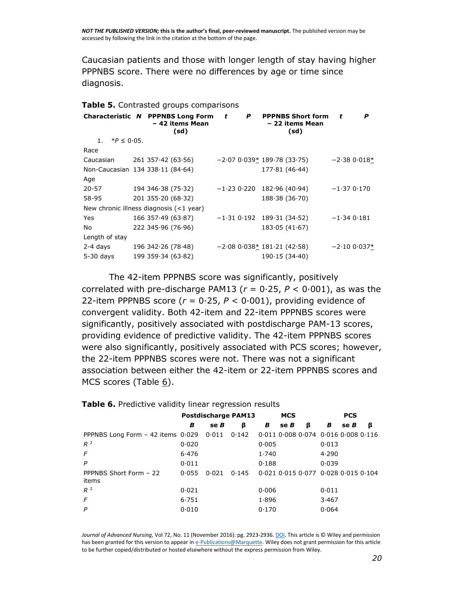Caucasian patients and those with longer length of stay having higher PPPNBS score. There were no differences by age or time since diagnosis.

#### **Table 5.** Contrasted groups comparisons

|                     | Characteristic N PPPNBS Long Form<br>- 42 items Mean<br>(sd) | t | P             | <b>PPPNBS Short form</b><br>- 22 items Mean<br>(sd) | t            | P             |
|---------------------|--------------------------------------------------------------|---|---------------|-----------------------------------------------------|--------------|---------------|
| 1. $*P \leq 0.05$ . |                                                              |   |               |                                                     |              |               |
| Race                |                                                              |   |               |                                                     |              |               |
| Caucasian           | $261$ 357 $\cdot$ 42 (63 $\cdot$ 56)                         |   |               | $-2.070.039*189.78(33.75)$                          |              | $-2.380.018*$ |
|                     | Non-Caucasian 134 338.11 (84.64)                             |   |               | 177.81(46.44)                                       |              |               |
| Age                 |                                                              |   |               |                                                     |              |               |
| 20-57               | 194 346 38 (75 32)                                           |   | $-1.23$ 0.220 | 182.96(40.94)                                       | $-1.370.170$ |               |
| 58-95               | $201$ 355 $\cdot$ 20 (68 $\cdot$ 32)                         |   |               | 188.38(36.70)                                       |              |               |
|                     | New chronic illness diagnosis $($ < 1 year)                  |   |               |                                                     |              |               |
| Yes                 | $166$ 357 $\cdot$ 49 (63 $\cdot$ 87)                         |   |               | $-1.31$ 0.192 189.31 (34.52)                        | $-1.340.181$ |               |
| No                  | 222 345.96 (76.96)                                           |   |               | 183.05(41.67)                                       |              |               |
| Length of stay      |                                                              |   |               |                                                     |              |               |
| 2-4 days            | 196 342 26 (78 48)                                           |   |               | $-2.080.038*181.21(42.58)$                          |              | $-2.100.037*$ |
| $5-30$ days         | 199 359 34 (63 82)                                           |   |               | 190.15(34.40)                                       |              |               |

The 42-item PPPNBS score was significantly, positively correlated with pre-discharge PAM13 ( $r = 0.25$ ,  $P < 0.001$ ), as was the 22-item PPPNBS score ( $r = 0.25$ ,  $P < 0.001$ ), providing evidence of convergent validity. Both 42-item and 22-item PPPNBS scores were significantly, positively associated with postdischarge PAM-13 scores, providing evidence of predictive validity. The 42-item PPPNBS scores were also significantly, positively associated with PCS scores; however, the 22-item PPPNBS scores were not. There was not a significant association between either the 42-item or 22-item PPPNBS scores and MCS scores (Table  $6$ ).

|                                            | <b>Postdischarge PAM13</b> |       |       | <b>MCS</b> |     |                                                 | <b>PCS</b> |     |   |
|--------------------------------------------|----------------------------|-------|-------|------------|-----|-------------------------------------------------|------------|-----|---|
|                                            | в                          | se B  | β     | В          | seB | ß                                               | в          | seB | β |
| PPPNBS Long Form $-42$ items $0.029$ 0.011 |                            |       | 0.142 |            |     | $0.011$ $0.008$ $0.074$ $0.016$ $0.008$ $0.116$ |            |     |   |
| $R^2$                                      | 0.020                      |       |       | 0.005      |     |                                                 | 0.013      |     |   |
| F                                          | 6.476                      |       |       | 1.740      |     |                                                 | 4.290      |     |   |
| P                                          | 0.011                      |       |       | 0.188      |     |                                                 | 0.039      |     |   |
| PPPNBS Short Form - 22<br>items            | 0.055                      | 0.021 | 0.145 |            |     | $0.021$ $0.015$ $0.077$ $0.028$ $0.015$ $0.104$ |            |     |   |
| $R^2$                                      | 0.021                      |       |       | 0.006      |     |                                                 | 0.011      |     |   |
| F                                          | 6.751                      |       |       | 1.896      |     |                                                 | 3.467      |     |   |
| P                                          | 0.010                      |       |       | 0.170      |     |                                                 | 0.064      |     |   |

**Table 6.** Predictive validity linear regression results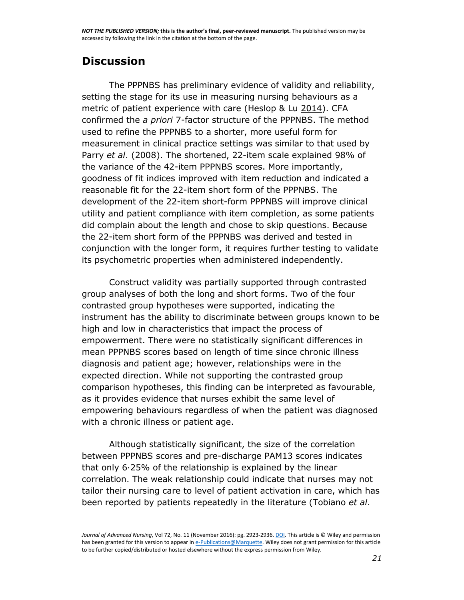# **Discussion**

The PPPNBS has preliminary evidence of validity and reliability, setting the stage for its use in measuring nursing behaviours as a metric of patient experience with care (Heslop & Lu [2014\)](http://onlinelibrary.wiley.com/doi/10.1111/jan.13060/full#jan13060-bib-0017). CFA confirmed the *a priori* 7-factor structure of the PPPNBS. The method used to refine the PPPNBS to a shorter, more useful form for measurement in clinical practice settings was similar to that used by Parry *et al*. [\(2008\)](http://onlinelibrary.wiley.com/doi/10.1111/jan.13060/full#jan13060-bib-0034). The shortened, 22-item scale explained 98% of the variance of the 42-item PPPNBS scores. More importantly, goodness of fit indices improved with item reduction and indicated a reasonable fit for the 22-item short form of the PPPNBS. The development of the 22-item short-form PPPNBS will improve clinical utility and patient compliance with item completion, as some patients did complain about the length and chose to skip questions. Because the 22-item short form of the PPPNBS was derived and tested in conjunction with the longer form, it requires further testing to validate its psychometric properties when administered independently.

Construct validity was partially supported through contrasted group analyses of both the long and short forms. Two of the four contrasted group hypotheses were supported, indicating the instrument has the ability to discriminate between groups known to be high and low in characteristics that impact the process of empowerment. There were no statistically significant differences in mean PPPNBS scores based on length of time since chronic illness diagnosis and patient age; however, relationships were in the expected direction. While not supporting the contrasted group comparison hypotheses, this finding can be interpreted as favourable, as it provides evidence that nurses exhibit the same level of empowering behaviours regardless of when the patient was diagnosed with a chronic illness or patient age.

Although statistically significant, the size of the correlation between PPPNBS scores and pre-discharge PAM13 scores indicates that only 6·25% of the relationship is explained by the linear correlation. The weak relationship could indicate that nurses may not tailor their nursing care to level of patient activation in care, which has been reported by patients repeatedly in the literature (Tobiano *et al*.

*Journal of Advanced Nursing*, Vol 72, No. 11 (November 2016): pg. 2923-2936[. DOI.](https://dx.doi.org/10.1111/jan.13060) This article is © Wiley and permission has been granted for this version to appear i[n e-Publications@Marquette.](http://epublications.marquette.edu/) Wiley does not grant permission for this article to be further copied/distributed or hosted elsewhere without the express permission from Wiley.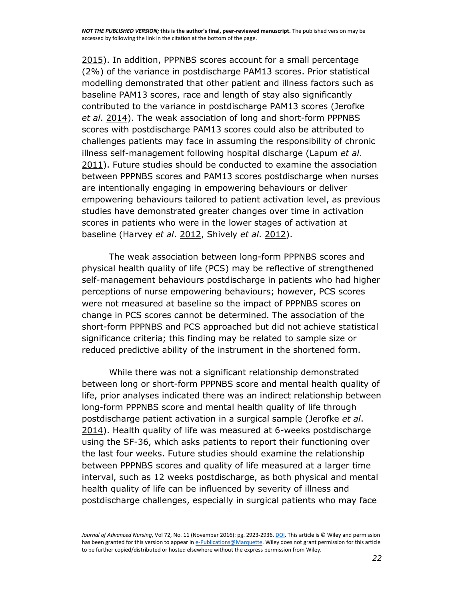[2015\)](http://onlinelibrary.wiley.com/doi/10.1111/jan.13060/full#jan13060-bib-0047). In addition, PPPNBS scores account for a small percentage (2%) of the variance in postdischarge PAM13 scores. Prior statistical modelling demonstrated that other patient and illness factors such as baseline PAM13 scores, race and length of stay also significantly contributed to the variance in postdischarge PAM13 scores (Jerofke *et al*. [2014\)](http://onlinelibrary.wiley.com/doi/10.1111/jan.13060/full#jan13060-bib-0023). The weak association of long and short-form PPPNBS scores with postdischarge PAM13 scores could also be attributed to challenges patients may face in assuming the responsibility of chronic illness self-management following hospital discharge (Lapum *et al*. [2011\)](http://onlinelibrary.wiley.com/doi/10.1111/jan.13060/full#jan13060-bib-0027). Future studies should be conducted to examine the association between PPPNBS scores and PAM13 scores postdischarge when nurses are intentionally engaging in empowering behaviours or deliver empowering behaviours tailored to patient activation level, as previous studies have demonstrated greater changes over time in activation scores in patients who were in the lower stages of activation at baseline (Harvey *et al*. [2012,](http://onlinelibrary.wiley.com/doi/10.1111/jan.13060/full#jan13060-bib-0015) Shively *et al*. [2012\)](http://onlinelibrary.wiley.com/doi/10.1111/jan.13060/full#jan13060-bib-0039).

The weak association between long-form PPPNBS scores and physical health quality of life (PCS) may be reflective of strengthened self-management behaviours postdischarge in patients who had higher perceptions of nurse empowering behaviours; however, PCS scores were not measured at baseline so the impact of PPPNBS scores on change in PCS scores cannot be determined. The association of the short-form PPPNBS and PCS approached but did not achieve statistical significance criteria; this finding may be related to sample size or reduced predictive ability of the instrument in the shortened form.

While there was not a significant relationship demonstrated between long or short-form PPPNBS score and mental health quality of life, prior analyses indicated there was an indirect relationship between long-form PPPNBS score and mental health quality of life through postdischarge patient activation in a surgical sample (Jerofke *et al*. [2014\)](http://onlinelibrary.wiley.com/doi/10.1111/jan.13060/full#jan13060-bib-0023). Health quality of life was measured at 6-weeks postdischarge using the SF-36, which asks patients to report their functioning over the last four weeks. Future studies should examine the relationship between PPPNBS scores and quality of life measured at a larger time interval, such as 12 weeks postdischarge, as both physical and mental health quality of life can be influenced by severity of illness and postdischarge challenges, especially in surgical patients who may face

*Journal of Advanced Nursing*, Vol 72, No. 11 (November 2016): pg. 2923-2936[. DOI.](https://dx.doi.org/10.1111/jan.13060) This article is © Wiley and permission has been granted for this version to appear i[n e-Publications@Marquette.](http://epublications.marquette.edu/) Wiley does not grant permission for this article to be further copied/distributed or hosted elsewhere without the express permission from Wiley.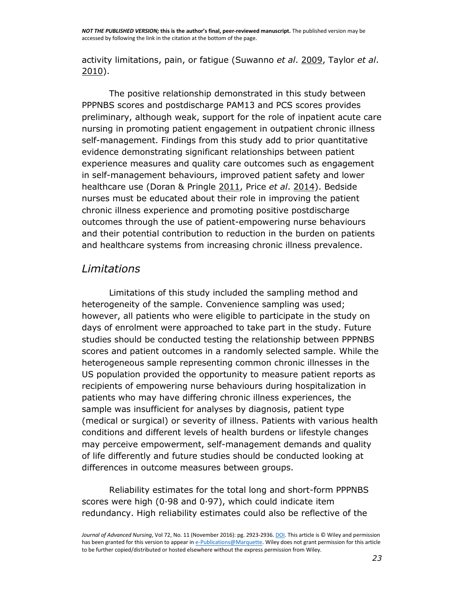activity limitations, pain, or fatigue (Suwanno *et al*. [2009,](http://onlinelibrary.wiley.com/doi/10.1111/jan.13060/full#jan13060-bib-0044) Taylor *et al*. [2010\)](http://onlinelibrary.wiley.com/doi/10.1111/jan.13060/full#jan13060-bib-0046).

The positive relationship demonstrated in this study between PPPNBS scores and postdischarge PAM13 and PCS scores provides preliminary, although weak, support for the role of inpatient acute care nursing in promoting patient engagement in outpatient chronic illness self-management. Findings from this study add to prior quantitative evidence demonstrating significant relationships between patient experience measures and quality care outcomes such as engagement in self-management behaviours, improved patient safety and lower healthcare use (Doran & Pringle [2011,](http://onlinelibrary.wiley.com/doi/10.1111/jan.13060/full#jan13060-bib-0011) Price *et al*. [2014\)](http://onlinelibrary.wiley.com/doi/10.1111/jan.13060/full#jan13060-bib-0037). Bedside nurses must be educated about their role in improving the patient chronic illness experience and promoting positive postdischarge outcomes through the use of patient-empowering nurse behaviours and their potential contribution to reduction in the burden on patients and healthcare systems from increasing chronic illness prevalence.

#### *Limitations*

Limitations of this study included the sampling method and heterogeneity of the sample. Convenience sampling was used; however, all patients who were eligible to participate in the study on days of enrolment were approached to take part in the study. Future studies should be conducted testing the relationship between PPPNBS scores and patient outcomes in a randomly selected sample. While the heterogeneous sample representing common chronic illnesses in the US population provided the opportunity to measure patient reports as recipients of empowering nurse behaviours during hospitalization in patients who may have differing chronic illness experiences, the sample was insufficient for analyses by diagnosis, patient type (medical or surgical) or severity of illness. Patients with various health conditions and different levels of health burdens or lifestyle changes may perceive empowerment, self-management demands and quality of life differently and future studies should be conducted looking at differences in outcome measures between groups.

Reliability estimates for the total long and short-form PPPNBS scores were high (0·98 and 0·97), which could indicate item redundancy. High reliability estimates could also be reflective of the

*Journal of Advanced Nursing*, Vol 72, No. 11 (November 2016): pg. 2923-2936[. DOI.](https://dx.doi.org/10.1111/jan.13060) This article is © Wiley and permission has been granted for this version to appear i[n e-Publications@Marquette.](http://epublications.marquette.edu/) Wiley does not grant permission for this article to be further copied/distributed or hosted elsewhere without the express permission from Wiley.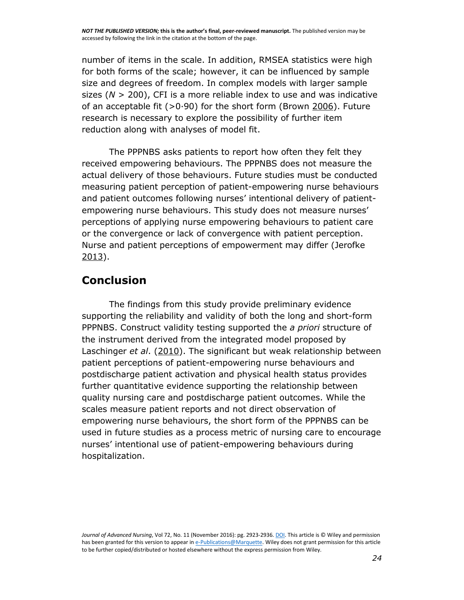number of items in the scale. In addition, RMSEA statistics were high for both forms of the scale; however, it can be influenced by sample size and degrees of freedom. In complex models with larger sample sizes (*N* > 200), CFI is a more reliable index to use and was indicative of an acceptable fit  $(>0.90)$  for the short form (Brown [2006\)](http://onlinelibrary.wiley.com/doi/10.1111/jan.13060/full#jan13060-bib-0006). Future research is necessary to explore the possibility of further item reduction along with analyses of model fit.

The PPPNBS asks patients to report how often they felt they received empowering behaviours. The PPPNBS does not measure the actual delivery of those behaviours. Future studies must be conducted measuring patient perception of patient-empowering nurse behaviours and patient outcomes following nurses' intentional delivery of patientempowering nurse behaviours. This study does not measure nurses' perceptions of applying nurse empowering behaviours to patient care or the convergence or lack of convergence with patient perception. Nurse and patient perceptions of empowerment may differ (Jerofke [2013\)](http://onlinelibrary.wiley.com/doi/10.1111/jan.13060/full#jan13060-bib-0022).

# **Conclusion**

The findings from this study provide preliminary evidence supporting the reliability and validity of both the long and short-form PPPNBS. Construct validity testing supported the *a priori* structure of the instrument derived from the integrated model proposed by Laschinger *et al*. [\(2010\)](http://onlinelibrary.wiley.com/doi/10.1111/jan.13060/full#jan13060-bib-0029). The significant but weak relationship between patient perceptions of patient-empowering nurse behaviours and postdischarge patient activation and physical health status provides further quantitative evidence supporting the relationship between quality nursing care and postdischarge patient outcomes. While the scales measure patient reports and not direct observation of empowering nurse behaviours, the short form of the PPPNBS can be used in future studies as a process metric of nursing care to encourage nurses' intentional use of patient-empowering behaviours during hospitalization.

*Journal of Advanced Nursing*, Vol 72, No. 11 (November 2016): pg. 2923-2936[. DOI.](https://dx.doi.org/10.1111/jan.13060) This article is © Wiley and permission has been granted for this version to appear i[n e-Publications@Marquette.](http://epublications.marquette.edu/) Wiley does not grant permission for this article to be further copied/distributed or hosted elsewhere without the express permission from Wiley.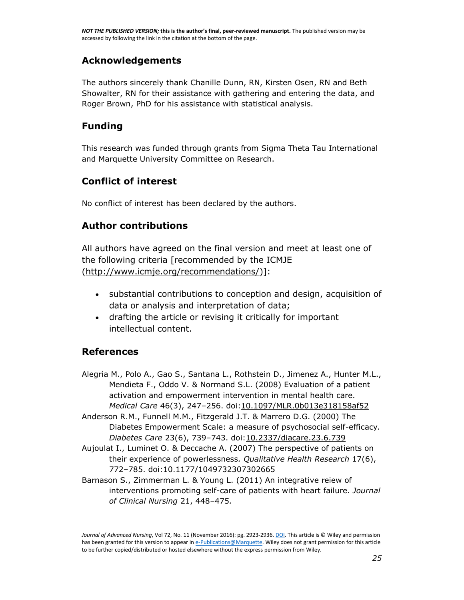### **Acknowledgements**

The authors sincerely thank Chanille Dunn, RN, Kirsten Osen, RN and Beth Showalter, RN for their assistance with gathering and entering the data, and Roger Brown, PhD for his assistance with statistical analysis.

### **Funding**

This research was funded through grants from Sigma Theta Tau International and Marquette University Committee on Research.

### **Conflict of interest**

No conflict of interest has been declared by the authors.

### **Author contributions**

All authors have agreed on the final version and meet at least one of the following criteria [recommended by the ICMJE [\(http://www.icmje.org/recommendations/\)](http://www.icmje.org/recommendations/)]:

- substantial contributions to conception and design, acquisition of data or analysis and interpretation of data;
- drafting the article or revising it critically for important intellectual content.

### **References**

- Alegria M., Polo A., Gao S., Santana L., Rothstein D., Jimenez A., Hunter M.L., Mendieta F., Oddo V. & Normand S.L. (2008) Evaluation of a patient activation and empowerment intervention in mental health care. *Medical Care* 46(3), 247–256. doi[:10.1097/MLR.0b013e318158af52](http://dx.doi.org/10.1097/MLR.0b013e318158af52)
- Anderson R.M., Funnell M.M., Fitzgerald J.T. & Marrero D.G. (2000) The Diabetes Empowerment Scale: a measure of psychosocial self-efficacy*. Diabetes Care* 23(6), 739–743. doi[:10.2337/diacare.23.6.739](http://dx.doi.org/10.2337/diacare.23.6.739)
- Aujoulat I., Luminet O. & Deccache A. (2007) The perspective of patients on their experience of powerlessness*. Qualitative Health Research* 17(6), 772–785. doi[:10.1177/1049732307302665](http://dx.doi.org/10.1177/1049732307302665)
- Barnason S., Zimmerman L. & Young L. (2011) An integrative reiew of interventions promoting self-care of patients with heart failure*. Journal of Clinical Nursing* 21, 448–475*.*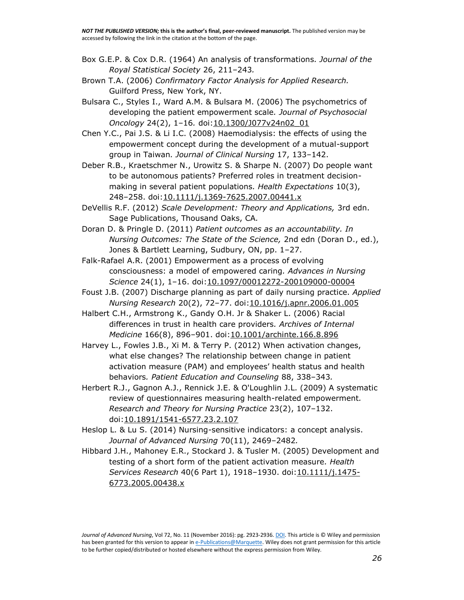- Box G.E.P. & Cox D.R. (1964) An analysis of transformations*. Journal of the Royal Statistical Society* 26, 211–243*.*
- Brown T.A. (2006) *Confirmatory Factor Analysis for Applied Research.*  Guilford Press, New York, NY.
- Bulsara C., Styles I., Ward A.M. & Bulsara M. (2006) The psychometrics of developing the patient empowerment scale*. Journal of Psychosocial Oncology* 24(2), 1–16*.* doi[:10.1300/J077v24n02\\_01](http://dx.doi.org/10.1300/J077v24n02_01)
- Chen Y.C., Pai J.S. & Li I.C. (2008) Haemodialysis: the effects of using the empowerment concept during the development of a mutual-support group in Taiwan*. Journal of Clinical Nursing* 17, 133–142.
- Deber R.B., Kraetschmer N., Urowitz S. & Sharpe N. (2007) Do people want to be autonomous patients? Preferred roles in treatment decisionmaking in several patient populations*. Health Expectations* 10(3), 248–258. doi[:10.1111/j.1369-7625.2007.00441.x](http://dx.doi.org/10.1111/j.1369-7625.2007.00441.x)
- DeVellis R.F. (2012) *Scale Development: Theory and Applications,* 3rd edn. Sage Publications, Thousand Oaks, CA*.*
- Doran D. & Pringle D. (2011) *Patient outcomes as an accountability. In Nursing Outcomes: The State of the Science,* 2nd edn (Doran D., ed.), Jones & Bartlett Learning, Sudbury, ON, pp. 1–27.
- Falk-Rafael A.R. (2001) Empowerment as a process of evolving consciousness: a model of empowered caring*. Advances in Nursing Science* 24(1), 1–16. doi[:10.1097/00012272-200109000-00004](http://dx.doi.org/10.1097/00012272-200109000-00004)
- Foust J.B. (2007) Discharge planning as part of daily nursing practice. *Applied Nursing Research* 20(2), 72–77. doi[:10.1016/j.apnr.2006.01.005](http://dx.doi.org/10.1016/j.apnr.2006.01.005)
- Halbert C.H., Armstrong K., Gandy O.H. Jr & Shaker L. (2006) Racial differences in trust in health care providers*. Archives of Internal Medicine* 166(8), 896–901. doi[:10.1001/archinte.166.8.896](http://dx.doi.org/10.1001/archinte.166.8.896)
- Harvey L., Fowles J.B., Xi M. & Terry P. (2012) When activation changes, what else changes? The relationship between change in patient activation measure (PAM) and employees' health status and health behaviors*. Patient Education and Counseling* 88, 338–343*.*
- Herbert R.J., Gagnon A.J., Rennick J.E. & O'Loughlin J.L. (2009) A systematic review of questionnaires measuring health-related empowerment*. Research and Theory for Nursing Practice* 23(2), 107–132. doi[:10.1891/1541-6577.23.2.107](http://dx.doi.org/10.1891/1541-6577.23.2.107)
- Heslop L. & Lu S. (2014) Nursing-sensitive indicators: a concept analysis. *Journal of Advanced Nursing* 70(11), 2469–2482*.*
- Hibbard J.H., Mahoney E.R., Stockard J. & Tusler M. (2005) Development and testing of a short form of the patient activation measure*. Health Services Research* 40(6 Part 1), 1918–1930. doi[:10.1111/j.1475-](http://dx.doi.org/10.1111/j.1475-6773.2005.00438.x) [6773.2005.00438.x](http://dx.doi.org/10.1111/j.1475-6773.2005.00438.x)

*Journal of Advanced Nursing*, Vol 72, No. 11 (November 2016): pg. 2923-2936[. DOI.](https://dx.doi.org/10.1111/jan.13060) This article is © Wiley and permission has been granted for this version to appear i[n e-Publications@Marquette.](http://epublications.marquette.edu/) Wiley does not grant permission for this article to be further copied/distributed or hosted elsewhere without the express permission from Wiley.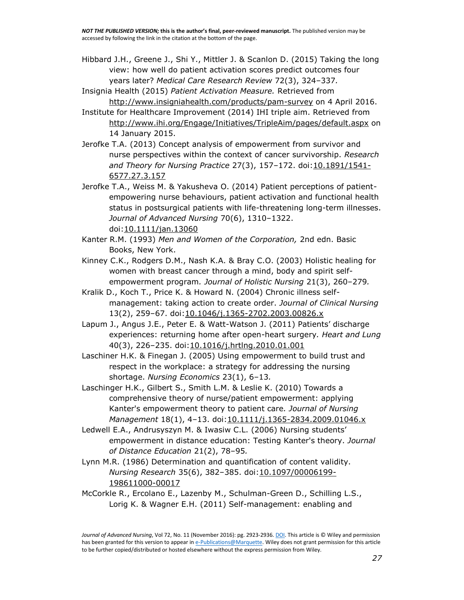Hibbard J.H., Greene J., Shi Y., Mittler J. & Scanlon D. (2015) Taking the long view: how well do patient activation scores predict outcomes four years later? *Medical Care Research Review* 72(3), 324–337*.*

Insignia Health (2015) *Patient Activation Measure.* Retrieved from <http://www.insigniahealth.com/products/pam-survey> on 4 April 2016.

- Institute for Healthcare Improvement (2014) IHI triple aim. Retrieved from <http://www.ihi.org/Engage/Initiatives/TripleAim/pages/default.aspx> on 14 January 2015.
- Jerofke T.A. (2013) Concept analysis of empowerment from survivor and nurse perspectives within the context of cancer survivorship. *Research and Theory for Nursing Practice* 27(3), 157–172. doi[:10.1891/1541-](http://dx.doi.org/10.1891/1541-6577.27.3.157) [6577.27.3.157](http://dx.doi.org/10.1891/1541-6577.27.3.157)
- Jerofke T.A., Weiss M. & Yakusheva O. (2014) Patient perceptions of patientempowering nurse behaviours, patient activation and functional health status in postsurgical patients with life-threatening long-term illnesses. *Journal of Advanced Nursing* 70(6), 1310–1322. doi[:10.1111/jan.13060](http://dx.doi.org/10.1111/jan.13060)
- Kanter R.M. (1993) *Men and Women of the Corporation,* 2nd edn. Basic Books, New York.
- Kinney C.K., Rodgers D.M., Nash K.A. & Bray C.O. (2003) Holistic healing for women with breast cancer through a mind, body and spirit selfempowerment program*. Journal of Holistic Nursing* 21(3), 260–279*.*
- Kralik D., Koch T., Price K. & Howard N. (2004) Chronic illness selfmanagement: taking action to create order. *Journal of Clinical Nursing*  13(2), 259–67. doi[:10.1046/j.1365-2702.2003.00826.x](http://dx.doi.org/10.1046/j.1365-2702.2003.00826.x)
- Lapum J., Angus J.E., Peter E. & Watt-Watson J. (2011) Patients' discharge experiences: returning home after open-heart surgery*. Heart and Lung*  40(3), 226–235. doi[:10.1016/j.hrtlng.2010.01.001](http://dx.doi.org/10.1016/j.hrtlng.2010.01.001)
- Laschiner H.K. & Finegan J. (2005) Using empowerment to build trust and respect in the workplace: a strategy for addressing the nursing shortage. *Nursing Economics* 23(1), 6–13*.*
- Laschinger H.K., Gilbert S., Smith L.M. & Leslie K. (2010) Towards a comprehensive theory of nurse/patient empowerment: applying Kanter's empowerment theory to patient care*. Journal of Nursing Management* 18(1), 4–13. doi[:10.1111/j.1365-2834.2009.01046.x](http://dx.doi.org/10.1111/j.1365-2834.2009.01046.x)
- Ledwell E.A., Andrusyszyn M. & Iwasiw C.L. (2006) Nursing students' empowerment in distance education: Testing Kanter's theory. *Journal of Distance Education* 21(2), 78–95*.*
- Lynn M.R. (1986) Determination and quantification of content validity. *Nursing Research* 35(6), 382–385. doi[:10.1097/00006199-](http://dx.doi.org/10.1097/00006199-198611000-00017) [198611000-00017](http://dx.doi.org/10.1097/00006199-198611000-00017)
- McCorkle R., Ercolano E., Lazenby M., Schulman-Green D., Schilling L.S., Lorig K. & Wagner E.H. (2011) Self-management: enabling and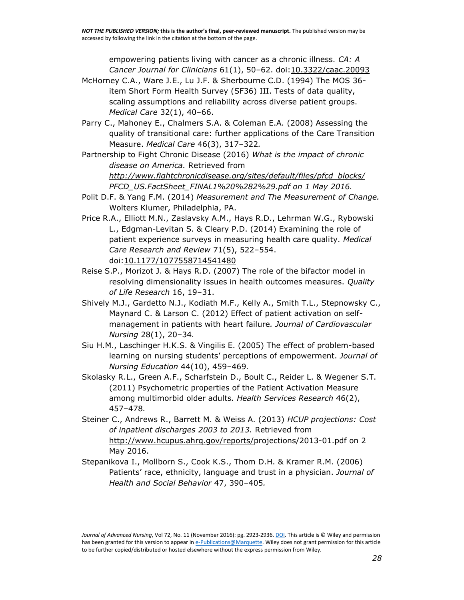empowering patients living with cancer as a chronic illness. *CA: A Cancer Journal for Clinicians* 61(1), 50–62. doi[:10.3322/caac.20093](http://dx.doi.org/10.3322/caac.20093)

- McHorney C.A., Ware J.E., Lu J.F. & Sherbourne C.D. (1994) The MOS 36 item Short Form Health Survey (SF36) III. Tests of data quality, scaling assumptions and reliability across diverse patient groups. *Medical Care* 32(1), 40–66.
- Parry C., Mahoney E., Chalmers S.A. & Coleman E.A. (2008) Assessing the quality of transitional care: further applications of the Care Transition Measure. *Medical Care* 46(3), 317–322*.*
- Partnership to Fight Chronic Disease (2016) *What is the impact of chronic disease on America.* Retrieved from *[http://www.fightchronicdisease.org/sites/default/files/pfcd\\_blocks/](http://www.fightchronicdisease.org/sites/default/files/pfcd_blocks/) PFCD\_US.FactSheet\_FINAL1%20%282%29.pdf on 1 May 2016.*
- Polit D.F. & Yang F.M. (2014) *Measurement and The Measurement of Change.*  Wolters Klumer, Philadelphia, PA.
- Price R.A., Elliott M.N., Zaslavsky A.M., Hays R.D., Lehrman W.G., Rybowski L., Edgman-Levitan S. & Cleary P.D. (2014) Examining the role of patient experience surveys in measuring health care quality. *Medical Care Research and Review* 71(5), 522–554. doi[:10.1177/1077558714541480](http://dx.doi.org/10.1177/1077558714541480)
- Reise S.P., Morizot J. & Hays R.D. (2007) The role of the bifactor model in resolving dimensionality issues in health outcomes measures. *Quality of Life Research* 16, 19–31.
- Shively M.J., Gardetto N.J., Kodiath M.F., Kelly A., Smith T.L., Stepnowsky C., Maynard C. & Larson C. (2012) Effect of patient activation on selfmanagement in patients with heart failure*. Journal of Cardiovascular Nursing* 28(1), 20–34*.*
- Siu H.M., Laschinger H.K.S. & Vingilis E. (2005) The effect of problem-based learning on nursing students' perceptions of empowerment. *Journal of Nursing Education* 44(10), 459–469*.*
- Skolasky R.L., Green A.F., Scharfstein D., Boult C., Reider L. & Wegener S.T. (2011) Psychometric properties of the Patient Activation Measure among multimorbid older adults*. Health Services Research* 46(2), 457–478*.*
- Steiner C., Andrews R., Barrett M. & Weiss A. (2013) *HCUP projections: Cost of inpatient discharges 2003 to 2013.* Retrieved from [http://www.hcupus.ahrq.gov/reports/p](http://www.hcupus.ahrq.gov/reports/)rojections/2013-01.pdf on 2 May 2016.
- Stepanikova I., Mollborn S., Cook K.S., Thom D.H. & Kramer R.M. (2006) Patients' race, ethnicity, language and trust in a physician. *Journal of Health and Social Behavior* 47, 390–405*.*

*Journal of Advanced Nursing*, Vol 72, No. 11 (November 2016): pg. 2923-2936[. DOI.](https://dx.doi.org/10.1111/jan.13060) This article is © Wiley and permission has been granted for this version to appear i[n e-Publications@Marquette.](http://epublications.marquette.edu/) Wiley does not grant permission for this article to be further copied/distributed or hosted elsewhere without the express permission from Wiley.